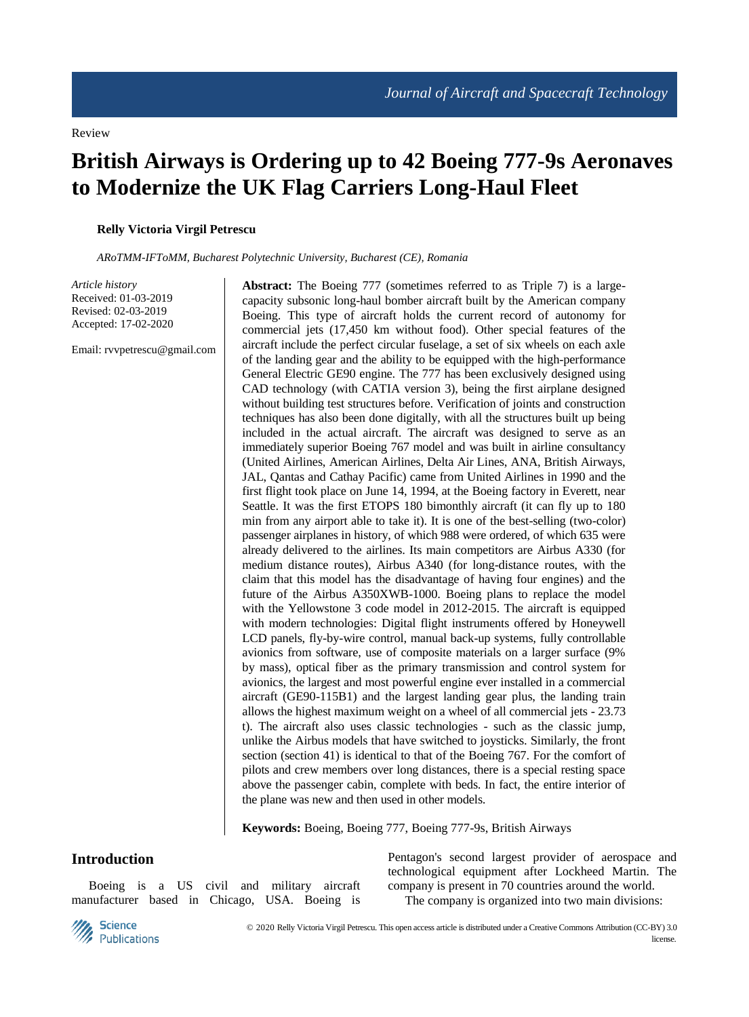Review

# **British Airways is Ordering up to 42 Boeing 777-9s Aeronaves to Modernize the UK Flag Carriers Long-Haul Fleet**

**Relly Victoria Virgil Petrescu**

*ARoTMM-IFToMM, Bucharest Polytechnic University, Bucharest (CE), Romania*

*Article history* Received: 01-03-2019 Revised: 02-03-2019 Accepted: 17-02-2020

Email: rvvpetrescu@gmail.com

**Abstract:** The Boeing 777 (sometimes referred to as Triple 7) is a largecapacity subsonic long-haul bomber aircraft built by the American company Boeing. This type of aircraft holds the current record of autonomy for commercial jets (17,450 km without food). Other special features of the aircraft include the perfect circular fuselage, a set of six wheels on each axle of the landing gear and the ability to be equipped with the high-performance General Electric GE90 engine. The 777 has been exclusively designed using CAD technology (with CATIA version 3), being the first airplane designed without building test structures before. Verification of joints and construction techniques has also been done digitally, with all the structures built up being included in the actual aircraft. The aircraft was designed to serve as an immediately superior Boeing 767 model and was built in airline consultancy (United Airlines, American Airlines, Delta Air Lines, ANA, British Airways, JAL, Qantas and Cathay Pacific) came from United Airlines in 1990 and the first flight took place on June 14, 1994, at the Boeing factory in Everett, near Seattle. It was the first ETOPS 180 bimonthly aircraft (it can fly up to 180 min from any airport able to take it). It is one of the best-selling (two-color) passenger airplanes in history, of which 988 were ordered, of which 635 were already delivered to the airlines. Its main competitors are Airbus A330 (for medium distance routes), Airbus A340 (for long-distance routes, with the claim that this model has the disadvantage of having four engines) and the future of the Airbus A350XWB-1000. Boeing plans to replace the model with the Yellowstone 3 code model in 2012-2015. The aircraft is equipped with modern technologies: Digital flight instruments offered by Honeywell LCD panels, fly-by-wire control, manual back-up systems, fully controllable avionics from software, use of composite materials on a larger surface (9% by mass), optical fiber as the primary transmission and control system for avionics, the largest and most powerful engine ever installed in a commercial aircraft (GE90-115B1) and the largest landing gear plus, the landing train allows the highest maximum weight on a wheel of all commercial jets - 23.73 t). The aircraft also uses classic technologies - such as the classic jump, unlike the Airbus models that have switched to joysticks. Similarly, the front section (section 41) is identical to that of the Boeing 767. For the comfort of pilots and crew members over long distances, there is a special resting space above the passenger cabin, complete with beds. In fact, the entire interior of the plane was new and then used in other models.

**Keywords:** Boeing, Boeing 777, Boeing 777-9s, British Airways

## **Introduction**

Boeing is a US civil and military aircraft manufacturer based in Chicago, USA. Boeing is Pentagon's second largest provider of aerospace and technological equipment after Lockheed Martin. The company is present in 70 countries around the world.

The company is organized into two main divisions:

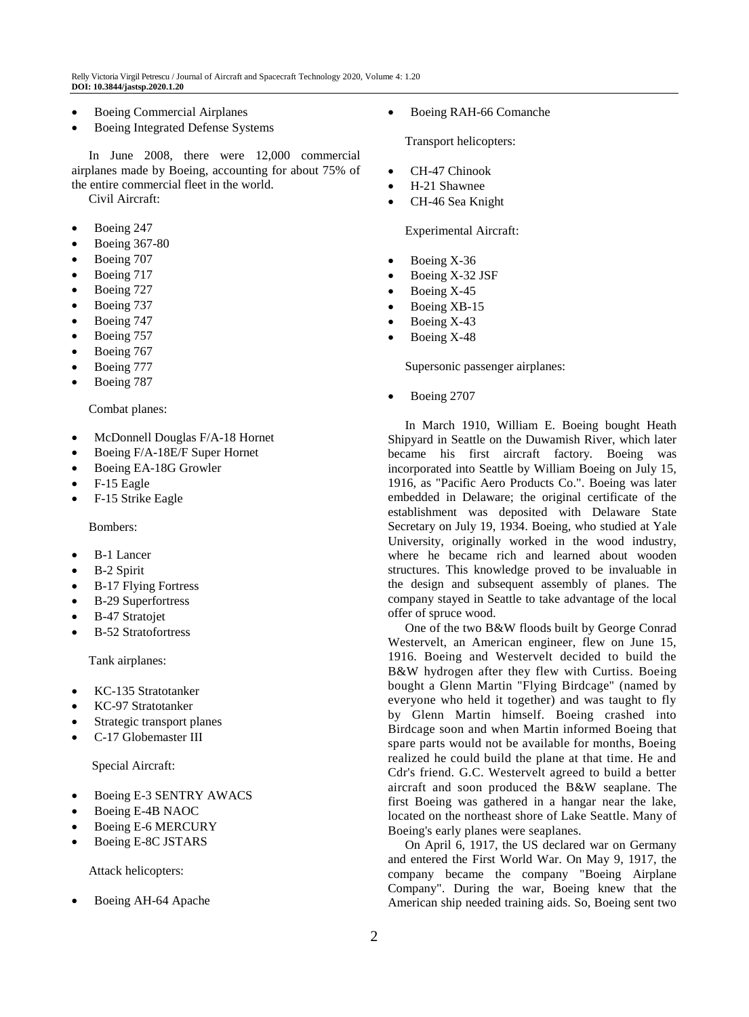Relly Victoria Virgil Petrescu / Journal of Aircraft and Spacecraft Technology 2020, Volume 4: 1.20 **DOI: 10.3844/jastsp.2020.1.20**

- Boeing Commercial Airplanes
- Boeing Integrated Defense Systems

In June 2008, there were 12,000 commercial airplanes made by Boeing, accounting for about 75% of the entire commercial fleet in the world.

Civil Aircraft:

- Boeing 247
- Boeing 367-80
- Boeing 707
- Boeing 717
- Boeing 727
- Boeing 737
- Boeing 747
- Boeing 757
- Boeing 767
- Boeing 777
- Boeing 787

Combat planes:

- McDonnell Douglas F/A-18 Hornet
- Boeing F/A-18E/F Super Hornet
- Boeing EA-18G Growler
- F-15 Eagle
- F-15 Strike Eagle

Bombers:

- B-1 Lancer
- B-2 Spirit
- B-17 Flying Fortress
- B-29 Superfortress
- B-47 Stratojet
- B-52 Stratofortress

Tank airplanes:

- KC-135 Stratotanker
- KC-97 Stratotanker
- Strategic transport planes
- C-17 Globemaster III

Special Aircraft:

- Boeing E-3 SENTRY AWACS
- Boeing E-4B NAOC
- Boeing E-6 MERCURY
- Boeing E-8C JSTARS

Attack helicopters:

Boeing AH-64 Apache

Boeing RAH-66 Comanche

Transport helicopters:

- CH-47 Chinook
- H-21 Shawnee
- CH-46 Sea Knight

Experimental Aircraft:

- Boeing X-36
- Boeing X-32 JSF
- Boeing X-45
- Boeing XB-15
- Boeing X-43
- Boeing X-48

Supersonic passenger airplanes:

Boeing 2707

In March 1910, William E. Boeing bought Heath Shipyard in Seattle on the Duwamish River, which later became his first aircraft factory. Boeing was incorporated into Seattle by William Boeing on July 15, 1916, as "Pacific Aero Products Co.". Boeing was later embedded in Delaware; the original certificate of the establishment was deposited with Delaware State Secretary on July 19, 1934. Boeing, who studied at Yale University, originally worked in the wood industry, where he became rich and learned about wooden structures. This knowledge proved to be invaluable in the design and subsequent assembly of planes. The company stayed in Seattle to take advantage of the local offer of spruce wood.

One of the two B&W floods built by George Conrad Westervelt, an American engineer, flew on June 15, 1916. Boeing and Westervelt decided to build the B&W hydrogen after they flew with Curtiss. Boeing bought a Glenn Martin "Flying Birdcage" (named by everyone who held it together) and was taught to fly by Glenn Martin himself. Boeing crashed into Birdcage soon and when Martin informed Boeing that spare parts would not be available for months, Boeing realized he could build the plane at that time. He and Cdr's friend. G.C. Westervelt agreed to build a better aircraft and soon produced the B&W seaplane. The first Boeing was gathered in a hangar near the lake, located on the northeast shore of Lake Seattle. Many of Boeing's early planes were seaplanes.

On April 6, 1917, the US declared war on Germany and entered the First World War. On May 9, 1917, the company became the company "Boeing Airplane Company". During the war, Boeing knew that the American ship needed training aids. So, Boeing sent two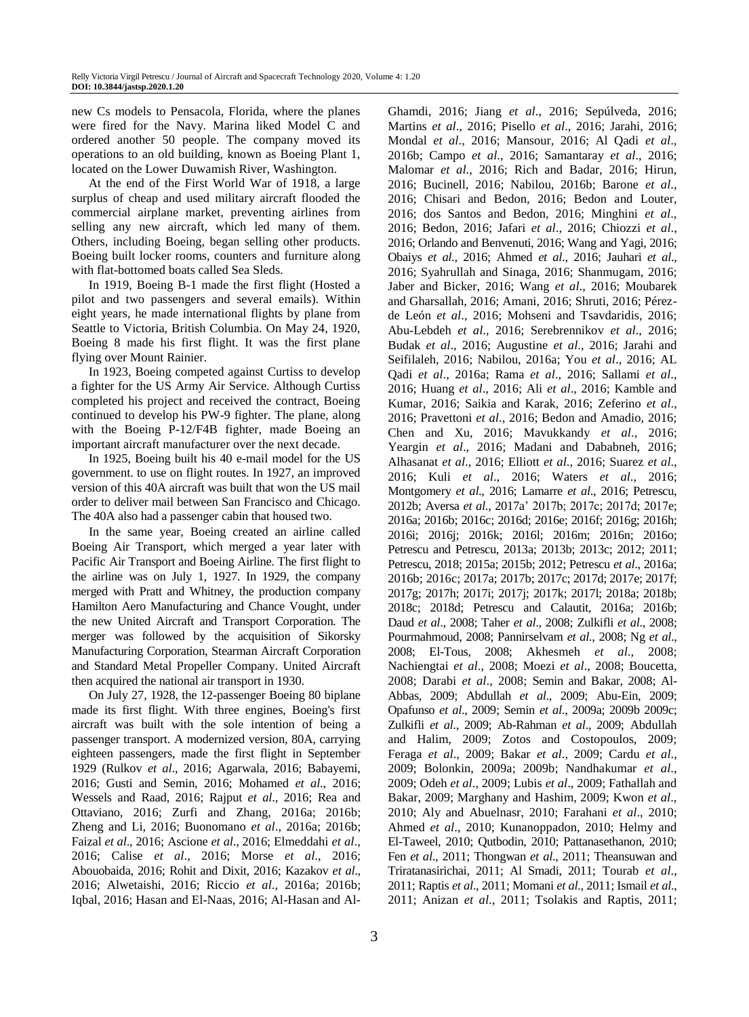new Cs models to Pensacola, Florida, where the planes were fired for the Navy. Marina liked Model C and ordered another 50 people. The company moved its operations to an old building, known as Boeing Plant 1, located on the Lower Duwamish River, Washington.

At the end of the First World War of 1918, a large surplus of cheap and used military aircraft flooded the commercial airplane market, preventing airlines from selling any new aircraft, which led many of them. Others, including Boeing, began selling other products. Boeing built locker rooms, counters and furniture along with flat-bottomed boats called Sea Sleds.

In 1919, Boeing B-1 made the first flight (Hosted a pilot and two passengers and several emails). Within eight years, he made international flights by plane from Seattle to Victoria, British Columbia. On May 24, 1920, Boeing 8 made his first flight. It was the first plane flying over Mount Rainier.

In 1923, Boeing competed against Curtiss to develop a fighter for the US Army Air Service. Although Curtiss completed his project and received the contract, Boeing continued to develop his PW-9 fighter. The plane, along with the Boeing P-12/F4B fighter, made Boeing an important aircraft manufacturer over the next decade.

In 1925, Boeing built his 40 e-mail model for the US government. to use on flight routes. In 1927, an improved version of this 40A aircraft was built that won the US mail order to deliver mail between San Francisco and Chicago. The 40A also had a passenger cabin that housed two.

In the same year, Boeing created an airline called Boeing Air Transport, which merged a year later with Pacific Air Transport and Boeing Airline. The first flight to the airline was on July 1, 1927. In 1929, the company merged with Pratt and Whitney, the production company Hamilton Aero Manufacturing and Chance Vought, under the new United Aircraft and Transport Corporation. The merger was followed by the acquisition of Sikorsky Manufacturing Corporation, Stearman Aircraft Corporation and Standard Metal Propeller Company. United Aircraft then acquired the national air transport in 1930.

On July 27, 1928, the 12-passenger Boeing 80 biplane made its first flight. With three engines, Boeing's first aircraft was built with the sole intention of being a passenger transport. A modernized version, 80A, carrying eighteen passengers, made the first flight in September 1929 (Rulkov *et al*., 2016; Agarwala, 2016; Babayemi, 2016; Gusti and Semin, 2016; Mohamed *et al*., 2016; Wessels and Raad, 2016; Rajput *et al*., 2016; Rea and Ottaviano, 2016; Zurfi and Zhang, 2016a; 2016b; Zheng and Li, 2016; Buonomano *et al*., 2016a; 2016b; Faizal *et al*., 2016; Ascione *et al*., 2016; Elmeddahi *et al*., 2016; Calise *et al*., 2016; Morse *et al*., 2016; Abouobaida, 2016; Rohit and Dixit, 2016; Kazakov *et al*., 2016; Alwetaishi, 2016; Riccio *et al*., 2016a; 2016b; Iqbal, 2016; Hasan and El-Naas, 2016; Al-Hasan and AlGhamdi, 2016; Jiang *et al*., 2016; Sepúlveda, 2016; Martins *et al*., 2016; Pisello *et al*., 2016; Jarahi, 2016; Mondal *et al*., 2016; Mansour, 2016; Al Qadi *et al*., 2016b; Campo *et al*., 2016; Samantaray *et al*., 2016; Malomar *et al*., 2016; Rich and Badar, 2016; Hirun, 2016; Bucinell, 2016; Nabilou, 2016b; Barone *et al*., 2016; Chisari and Bedon, 2016; Bedon and Louter, 2016; dos Santos and Bedon, 2016; Minghini *et al*., 2016; Bedon, 2016; Jafari *et al*., 2016; Chiozzi *et al*., 2016; Orlando and Benvenuti, 2016; Wang and Yagi, 2016; Obaiys *et al*., 2016; Ahmed *et al*., 2016; Jauhari *et al*., 2016; Syahrullah and Sinaga, 2016; Shanmugam, 2016; Jaber and Bicker, 2016; Wang *et al*., 2016; Moubarek and Gharsallah, 2016; Amani, 2016; Shruti, 2016; Pérezde León *et al*., 2016; Mohseni and Tsavdaridis, 2016; Abu-Lebdeh *et al*., 2016; Serebrennikov *et al*., 2016; Budak *et al*., 2016; Augustine *et al*., 2016; Jarahi and Seifilaleh, 2016; Nabilou, 2016a; You *et al*., 2016; AL Qadi *et al*., 2016a; Rama *et al*., 2016; Sallami *et al*., 2016; Huang *et al*., 2016; Ali *et al*., 2016; Kamble and Kumar, 2016; Saikia and Karak, 2016; Zeferino *et al*., 2016; Pravettoni *et al*., 2016; Bedon and Amadio, 2016; Chen and Xu, 2016; Mavukkandy *et al*., 2016; Yeargin *et al*., 2016; Madani and Dababneh, 2016; Alhasanat *et al*., 2016; Elliott *et al*., 2016; Suarez *et al*., 2016; Kuli *et al*., 2016; Waters *et al*., 2016; Montgomery *et al*., 2016; Lamarre *et al*., 2016; Petrescu, 2012b; Aversa *et al*., 2017a' 2017b; 2017c; 2017d; 2017e; 2016a; 2016b; 2016c; 2016d; 2016e; 2016f; 2016g; 2016h; 2016i; 2016j; 2016k; 2016l; 2016m; 2016n; 2016o; Petrescu and Petrescu, 2013a; 2013b; 2013c; 2012; 2011; Petrescu, 2018; 2015a; 2015b; 2012; Petrescu *et al*., 2016a; 2016b; 2016c; 2017a; 2017b; 2017c; 2017d; 2017e; 2017f; 2017g; 2017h; 2017i; 2017j; 2017k; 2017l; 2018a; 2018b; 2018c; 2018d; Petrescu and Calautit, 2016a; 2016b; Daud *et al*., 2008; Taher *et al*., 2008; Zulkifli *et al*., 2008; Pourmahmoud, 2008; Pannirselvam *et al*., 2008; Ng *et al*., 2008; El-Tous, 2008; Akhesmeh *et al*., 2008; Nachiengtai *et al*., 2008; Moezi *et al*., 2008; Boucetta, 2008; Darabi *et al*., 2008; Semin and Bakar, 2008; Al-Abbas, 2009; Abdullah *et al*., 2009; Abu-Ein, 2009; Opafunso *et al*., 2009; Semin *et al*., 2009a; 2009b 2009c; Zulkifli *et al*., 2009; Ab-Rahman *et al*., 2009; Abdullah and Halim, 2009; Zotos and Costopoulos, 2009; Feraga *et al*., 2009; Bakar *et al*., 2009; Cardu *et al*., 2009; Bolonkin, 2009a; 2009b; Nandhakumar *et al*., 2009; Odeh *et al*., 2009; Lubis *et al*., 2009; Fathallah and Bakar, 2009; Marghany and Hashim, 2009; Kwon *et al*., 2010; Aly and Abuelnasr, 2010; Farahani *et al*., 2010; Ahmed *et al*., 2010; Kunanoppadon, 2010; Helmy and El-Taweel, 2010; Qutbodin, 2010; Pattanasethanon, 2010; Fen *et al*., 2011; Thongwan *et al*., 2011; Theansuwan and Triratanasirichai, 2011; Al Smadi, 2011; Tourab *et al*., 2011; Raptis *et al*., 2011; Momani *et al*., 2011; Ismail *et al*., 2011; Anizan *et al*., 2011; Tsolakis and Raptis, 2011;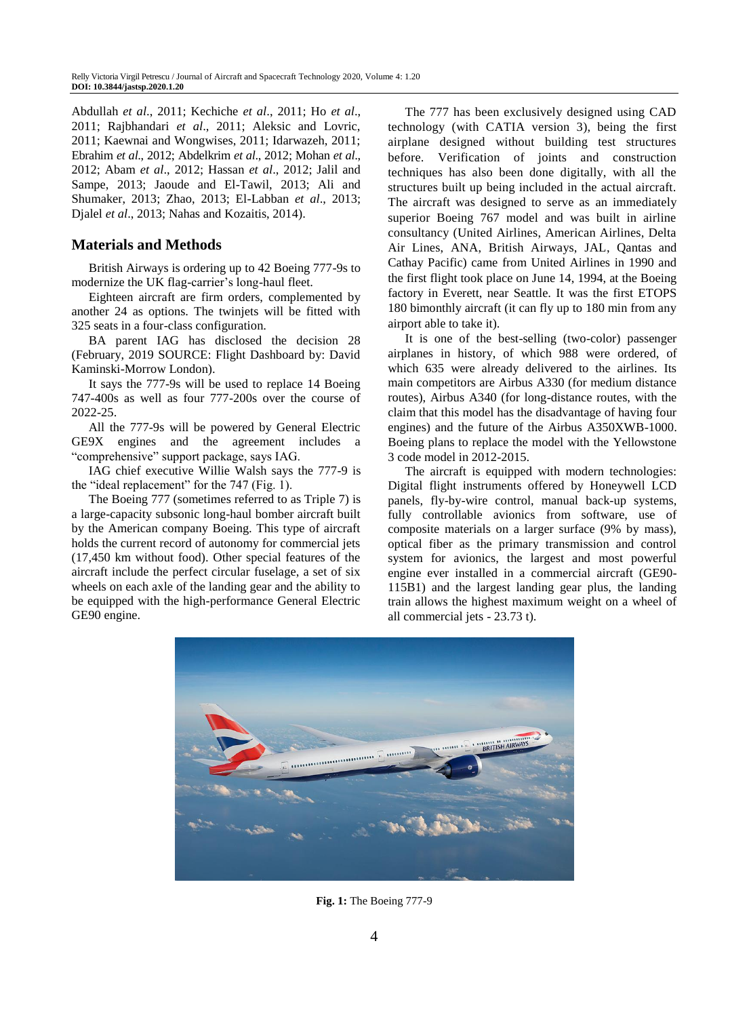Abdullah *et al*., 2011; Kechiche *et al*., 2011; Ho *et al*., 2011; Rajbhandari *et al*., 2011; Aleksic and Lovric, 2011; Kaewnai and Wongwises, 2011; Idarwazeh, 2011; Ebrahim *et al*., 2012; Abdelkrim *et al*., 2012; Mohan *et al*., 2012; Abam *et al*., 2012; Hassan *et al*., 2012; Jalil and Sampe, 2013; Jaoude and El-Tawil, 2013; Ali and Shumaker, 2013; Zhao, 2013; El-Labban *et al*., 2013; Djalel *et al*., 2013; Nahas and Kozaitis, 2014).

# **Materials and Methods**

British Airways is ordering up to 42 Boeing 777-9s to modernize the UK flag-carrier's long-haul fleet.

Eighteen aircraft are firm orders, complemented by another 24 as options. The twinjets will be fitted with 325 seats in a four-class configuration.

BA parent IAG has disclosed the decision 28 (February, 2019 SOURCE: Flight Dashboard by: David Kaminski-Morrow London).

It says the 777-9s will be used to replace 14 Boeing 747-400s as well as four 777-200s over the course of 2022-25.

All the 777-9s will be powered by General Electric GE9X engines and the agreement includes a "comprehensive" support package, says IAG.

IAG chief executive Willie Walsh says the 777-9 is the "ideal replacement" for the 747 (Fig. 1).

The Boeing 777 (sometimes referred to as Triple 7) is a large-capacity subsonic long-haul bomber aircraft built by the American company Boeing. This type of aircraft holds the current record of autonomy for commercial jets (17,450 km without food). Other special features of the aircraft include the perfect circular fuselage, a set of six wheels on each axle of the landing gear and the ability to be equipped with the high-performance General Electric GE90 engine.

The 777 has been exclusively designed using CAD technology (with CATIA version 3), being the first airplane designed without building test structures before. Verification of joints and construction techniques has also been done digitally, with all the structures built up being included in the actual aircraft. The aircraft was designed to serve as an immediately superior Boeing 767 model and was built in airline consultancy (United Airlines, American Airlines, Delta Air Lines, ANA, British Airways, JAL, Qantas and Cathay Pacific) came from United Airlines in 1990 and the first flight took place on June 14, 1994, at the Boeing factory in Everett, near Seattle. It was the first ETOPS 180 bimonthly aircraft (it can fly up to 180 min from any airport able to take it).

It is one of the best-selling (two-color) passenger airplanes in history, of which 988 were ordered, of which 635 were already delivered to the airlines. Its main competitors are Airbus A330 (for medium distance routes), Airbus A340 (for long-distance routes, with the claim that this model has the disadvantage of having four engines) and the future of the Airbus A350XWB-1000. Boeing plans to replace the model with the Yellowstone 3 code model in 2012-2015.

The aircraft is equipped with modern technologies: Digital flight instruments offered by Honeywell LCD panels, fly-by-wire control, manual back-up systems, fully controllable avionics from software, use of composite materials on a larger surface (9% by mass), optical fiber as the primary transmission and control system for avionics, the largest and most powerful engine ever installed in a commercial aircraft (GE90- 115B1) and the largest landing gear plus, the landing train allows the highest maximum weight on a wheel of all commercial jets - 23.73 t).



**Fig. 1:** The Boeing 777-9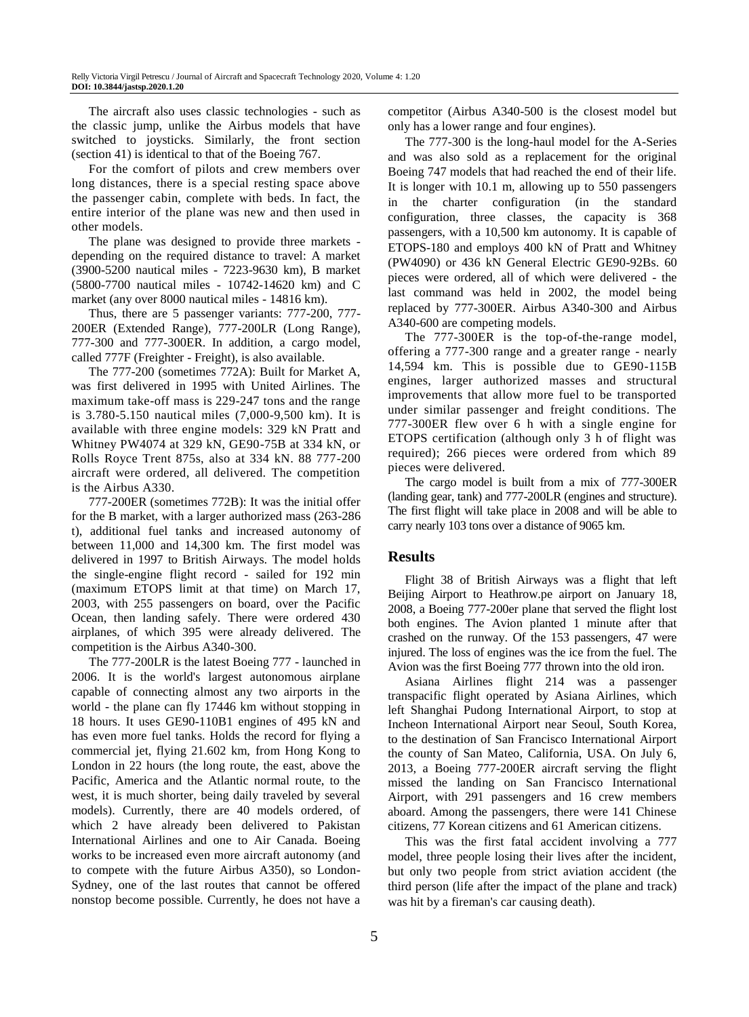The aircraft also uses classic technologies - such as the classic jump, unlike the Airbus models that have switched to joysticks. Similarly, the front section (section 41) is identical to that of the Boeing 767.

For the comfort of pilots and crew members over long distances, there is a special resting space above the passenger cabin, complete with beds. In fact, the entire interior of the plane was new and then used in other models.

The plane was designed to provide three markets depending on the required distance to travel: A market (3900-5200 nautical miles - 7223-9630 km), B market (5800-7700 nautical miles - 10742-14620 km) and C market (any over 8000 nautical miles - 14816 km).

Thus, there are 5 passenger variants: 777-200, 777- 200ER (Extended Range), 777-200LR (Long Range), 777-300 and 777-300ER. In addition, a cargo model, called 777F (Freighter - Freight), is also available.

The 777-200 (sometimes 772A): Built for Market A, was first delivered in 1995 with United Airlines. The maximum take-off mass is 229-247 tons and the range is 3.780-5.150 nautical miles (7,000-9,500 km). It is available with three engine models: 329 kN Pratt and Whitney PW4074 at 329 kN, GE90-75B at 334 kN, or Rolls Royce Trent 875s, also at 334 kN. 88 777-200 aircraft were ordered, all delivered. The competition is the Airbus A330.

777-200ER (sometimes 772B): It was the initial offer for the B market, with a larger authorized mass (263-286 t), additional fuel tanks and increased autonomy of between 11,000 and 14,300 km. The first model was delivered in 1997 to British Airways. The model holds the single-engine flight record - sailed for 192 min (maximum ETOPS limit at that time) on March 17, 2003, with 255 passengers on board, over the Pacific Ocean, then landing safely. There were ordered 430 airplanes, of which 395 were already delivered. The competition is the Airbus A340-300.

The 777-200LR is the latest Boeing 777 - launched in 2006. It is the world's largest autonomous airplane capable of connecting almost any two airports in the world - the plane can fly 17446 km without stopping in 18 hours. It uses GE90-110B1 engines of 495 kN and has even more fuel tanks. Holds the record for flying a commercial jet, flying 21.602 km, from Hong Kong to London in 22 hours (the long route, the east, above the Pacific, America and the Atlantic normal route, to the west, it is much shorter, being daily traveled by several models). Currently, there are 40 models ordered, of which 2 have already been delivered to Pakistan International Airlines and one to Air Canada. Boeing works to be increased even more aircraft autonomy (and to compete with the future Airbus A350), so London-Sydney, one of the last routes that cannot be offered nonstop become possible. Currently, he does not have a competitor (Airbus A340-500 is the closest model but only has a lower range and four engines).

The 777-300 is the long-haul model for the A-Series and was also sold as a replacement for the original Boeing 747 models that had reached the end of their life. It is longer with 10.1 m, allowing up to 550 passengers in the charter configuration (in the standard configuration, three classes, the capacity is 368 passengers, with a 10,500 km autonomy. It is capable of ETOPS-180 and employs 400 kN of Pratt and Whitney (PW4090) or 436 kN General Electric GE90-92Bs. 60 pieces were ordered, all of which were delivered - the last command was held in 2002, the model being replaced by 777-300ER. Airbus A340-300 and Airbus A340-600 are competing models.

The 777-300ER is the top-of-the-range model, offering a 777-300 range and a greater range - nearly 14,594 km. This is possible due to GE90-115B engines, larger authorized masses and structural improvements that allow more fuel to be transported under similar passenger and freight conditions. The 777-300ER flew over 6 h with a single engine for ETOPS certification (although only 3 h of flight was required); 266 pieces were ordered from which 89 pieces were delivered.

The cargo model is built from a mix of 777-300ER (landing gear, tank) and 777-200LR (engines and structure). The first flight will take place in 2008 and will be able to carry nearly 103 tons over a distance of 9065 km.

#### **Results**

Flight 38 of British Airways was a flight that left Beijing Airport to Heathrow.pe airport on January 18, 2008, a Boeing 777-200er plane that served the flight lost both engines. The Avion planted 1 minute after that crashed on the runway. Of the 153 passengers, 47 were injured. The loss of engines was the ice from the fuel. The Avion was the first Boeing 777 thrown into the old iron.

Asiana Airlines flight 214 was a passenger transpacific flight operated by Asiana Airlines, which left Shanghai Pudong International Airport, to stop at Incheon International Airport near Seoul, South Korea, to the destination of San Francisco International Airport the county of San Mateo, California, USA. On July 6, 2013, a Boeing 777-200ER aircraft serving the flight missed the landing on San Francisco International Airport, with 291 passengers and 16 crew members aboard. Among the passengers, there were 141 Chinese citizens, 77 Korean citizens and 61 American citizens.

This was the first fatal accident involving a 777 model, three people losing their lives after the incident, but only two people from strict aviation accident (the third person (life after the impact of the plane and track) was hit by a fireman's car causing death).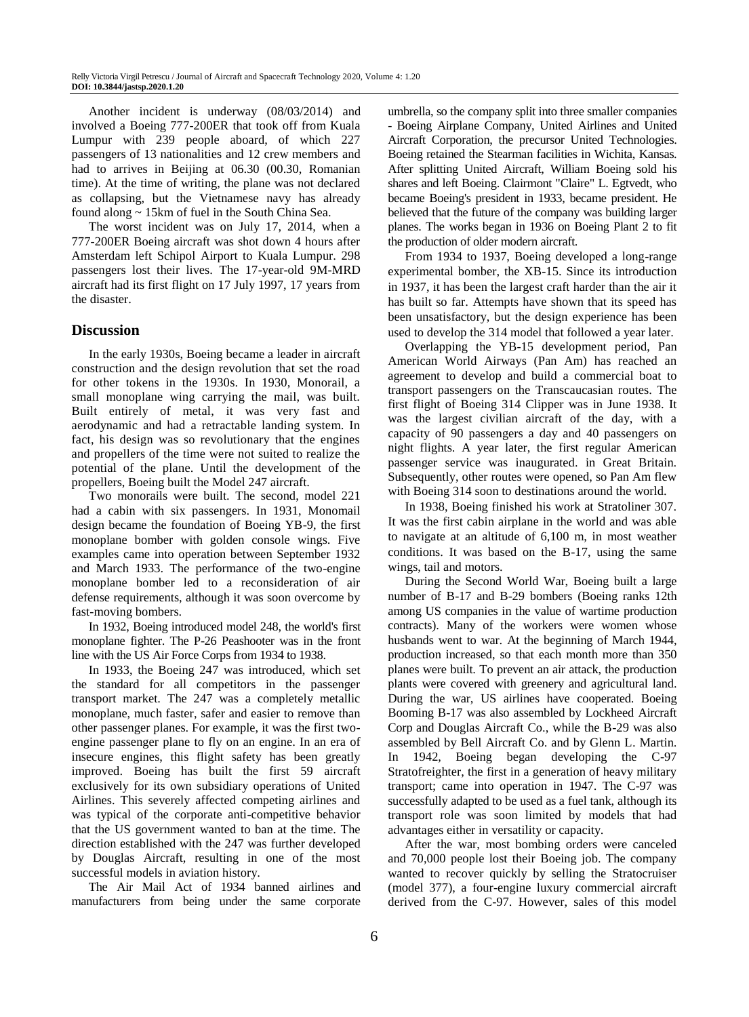Another incident is underway (08/03/2014) and involved a Boeing 777-200ER that took off from Kuala Lumpur with 239 people aboard, of which 227 passengers of 13 nationalities and 12 crew members and had to arrives in Beijing at 06.30 (00.30, Romanian time). At the time of writing, the plane was not declared as collapsing, but the Vietnamese navy has already found along ~ 15km of fuel in the South China Sea.

The worst incident was on July 17, 2014, when a 777-200ER Boeing aircraft was shot down 4 hours after Amsterdam left Schipol Airport to Kuala Lumpur. 298 passengers lost their lives. The 17-year-old 9M-MRD aircraft had its first flight on 17 July 1997, 17 years from the disaster.

#### **Discussion**

In the early 1930s, Boeing became a leader in aircraft construction and the design revolution that set the road for other tokens in the 1930s. In 1930, Monorail, a small monoplane wing carrying the mail, was built. Built entirely of metal, it was very fast and aerodynamic and had a retractable landing system. In fact, his design was so revolutionary that the engines and propellers of the time were not suited to realize the potential of the plane. Until the development of the propellers, Boeing built the Model 247 aircraft.

Two monorails were built. The second, model 221 had a cabin with six passengers. In 1931, Monomail design became the foundation of Boeing YB-9, the first monoplane bomber with golden console wings. Five examples came into operation between September 1932 and March 1933. The performance of the two-engine monoplane bomber led to a reconsideration of air defense requirements, although it was soon overcome by fast-moving bombers.

In 1932, Boeing introduced model 248, the world's first monoplane fighter. The P-26 Peashooter was in the front line with the US Air Force Corps from 1934 to 1938.

In 1933, the Boeing 247 was introduced, which set the standard for all competitors in the passenger transport market. The 247 was a completely metallic monoplane, much faster, safer and easier to remove than other passenger planes. For example, it was the first twoengine passenger plane to fly on an engine. In an era of insecure engines, this flight safety has been greatly improved. Boeing has built the first 59 aircraft exclusively for its own subsidiary operations of United Airlines. This severely affected competing airlines and was typical of the corporate anti-competitive behavior that the US government wanted to ban at the time. The direction established with the 247 was further developed by Douglas Aircraft, resulting in one of the most successful models in aviation history.

The Air Mail Act of 1934 banned airlines and manufacturers from being under the same corporate umbrella, so the company split into three smaller companies - Boeing Airplane Company, United Airlines and United Aircraft Corporation, the precursor United Technologies. Boeing retained the Stearman facilities in Wichita, Kansas. After splitting United Aircraft, William Boeing sold his shares and left Boeing. Clairmont "Claire" L. Egtvedt, who became Boeing's president in 1933, became president. He believed that the future of the company was building larger planes. The works began in 1936 on Boeing Plant 2 to fit the production of older modern aircraft.

From 1934 to 1937, Boeing developed a long-range experimental bomber, the XB-15. Since its introduction in 1937, it has been the largest craft harder than the air it has built so far. Attempts have shown that its speed has been unsatisfactory, but the design experience has been used to develop the 314 model that followed a year later.

Overlapping the YB-15 development period, Pan American World Airways (Pan Am) has reached an agreement to develop and build a commercial boat to transport passengers on the Transcaucasian routes. The first flight of Boeing 314 Clipper was in June 1938. It was the largest civilian aircraft of the day, with a capacity of 90 passengers a day and 40 passengers on night flights. A year later, the first regular American passenger service was inaugurated. in Great Britain. Subsequently, other routes were opened, so Pan Am flew with Boeing 314 soon to destinations around the world.

In 1938, Boeing finished his work at Stratoliner 307. It was the first cabin airplane in the world and was able to navigate at an altitude of 6,100 m, in most weather conditions. It was based on the B-17, using the same wings, tail and motors.

During the Second World War, Boeing built a large number of B-17 and B-29 bombers (Boeing ranks 12th among US companies in the value of wartime production contracts). Many of the workers were women whose husbands went to war. At the beginning of March 1944, production increased, so that each month more than 350 planes were built. To prevent an air attack, the production plants were covered with greenery and agricultural land. During the war, US airlines have cooperated. Boeing Booming B-17 was also assembled by Lockheed Aircraft Corp and Douglas Aircraft Co., while the B-29 was also assembled by Bell Aircraft Co. and by Glenn L. Martin. In 1942, Boeing began developing the C-97 Stratofreighter, the first in a generation of heavy military transport; came into operation in 1947. The C-97 was successfully adapted to be used as a fuel tank, although its transport role was soon limited by models that had advantages either in versatility or capacity.

After the war, most bombing orders were canceled and 70,000 people lost their Boeing job. The company wanted to recover quickly by selling the Stratocruiser (model 377), a four-engine luxury commercial aircraft derived from the C-97. However, sales of this model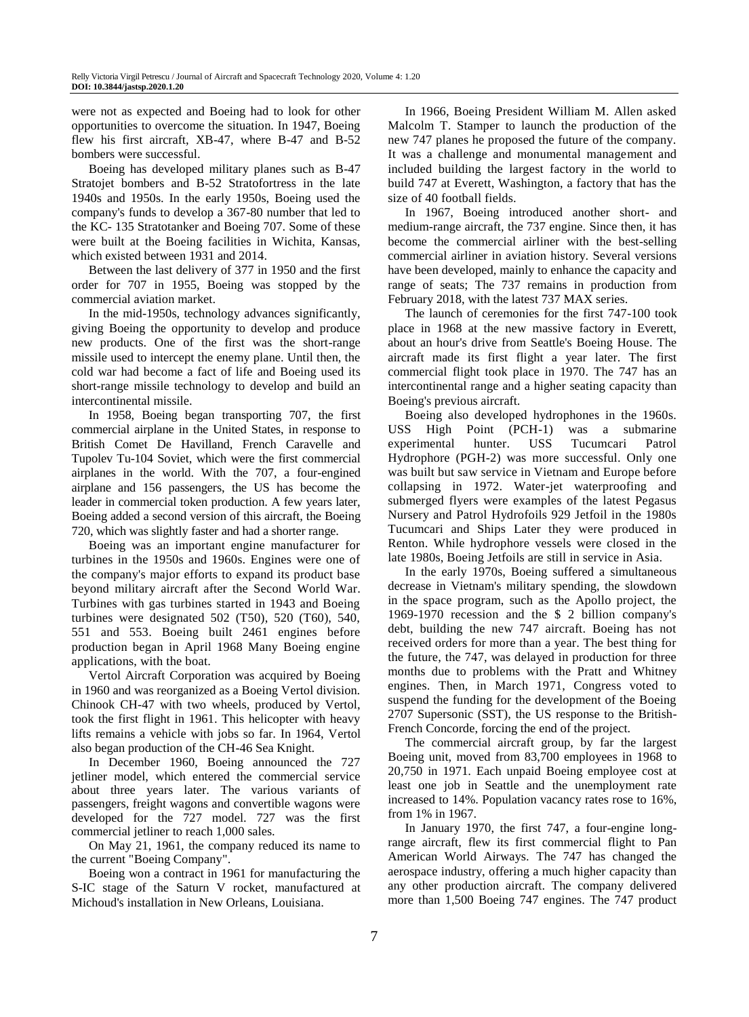were not as expected and Boeing had to look for other opportunities to overcome the situation. In 1947, Boeing flew his first aircraft, XB-47, where B-47 and B-52 bombers were successful.

Boeing has developed military planes such as B-47 Stratojet bombers and B-52 Stratofortress in the late 1940s and 1950s. In the early 1950s, Boeing used the company's funds to develop a 367-80 number that led to the KC- 135 Stratotanker and Boeing 707. Some of these were built at the Boeing facilities in Wichita, Kansas, which existed between 1931 and 2014.

Between the last delivery of 377 in 1950 and the first order for 707 in 1955, Boeing was stopped by the commercial aviation market.

In the mid-1950s, technology advances significantly, giving Boeing the opportunity to develop and produce new products. One of the first was the short-range missile used to intercept the enemy plane. Until then, the cold war had become a fact of life and Boeing used its short-range missile technology to develop and build an intercontinental missile.

In 1958, Boeing began transporting 707, the first commercial airplane in the United States, in response to British Comet De Havilland, French Caravelle and Tupolev Tu-104 Soviet, which were the first commercial airplanes in the world. With the 707, a four-engined airplane and 156 passengers, the US has become the leader in commercial token production. A few years later, Boeing added a second version of this aircraft, the Boeing 720, which was slightly faster and had a shorter range.

Boeing was an important engine manufacturer for turbines in the 1950s and 1960s. Engines were one of the company's major efforts to expand its product base beyond military aircraft after the Second World War. Turbines with gas turbines started in 1943 and Boeing turbines were designated 502 (T50), 520 (T60), 540, 551 and 553. Boeing built 2461 engines before production began in April 1968 Many Boeing engine applications, with the boat.

Vertol Aircraft Corporation was acquired by Boeing in 1960 and was reorganized as a Boeing Vertol division. Chinook CH-47 with two wheels, produced by Vertol, took the first flight in 1961. This helicopter with heavy lifts remains a vehicle with jobs so far. In 1964, Vertol also began production of the CH-46 Sea Knight.

In December 1960, Boeing announced the 727 jetliner model, which entered the commercial service about three years later. The various variants of passengers, freight wagons and convertible wagons were developed for the 727 model. 727 was the first commercial jetliner to reach 1,000 sales.

On May 21, 1961, the company reduced its name to the current "Boeing Company".

Boeing won a contract in 1961 for manufacturing the S-IC stage of the Saturn V rocket, manufactured at Michoud's installation in New Orleans, Louisiana.

In 1966, Boeing President William M. Allen asked Malcolm T. Stamper to launch the production of the new 747 planes he proposed the future of the company. It was a challenge and monumental management and included building the largest factory in the world to build 747 at Everett, Washington, a factory that has the size of 40 football fields.

In 1967, Boeing introduced another short- and medium-range aircraft, the 737 engine. Since then, it has become the commercial airliner with the best-selling commercial airliner in aviation history. Several versions have been developed, mainly to enhance the capacity and range of seats; The 737 remains in production from February 2018, with the latest 737 MAX series.

The launch of ceremonies for the first 747-100 took place in 1968 at the new massive factory in Everett, about an hour's drive from Seattle's Boeing House. The aircraft made its first flight a year later. The first commercial flight took place in 1970. The 747 has an intercontinental range and a higher seating capacity than Boeing's previous aircraft.

Boeing also developed hydrophones in the 1960s. USS High Point (PCH-1) was a submarine experimental hunter. USS Tucumcari Patrol Hydrophore (PGH-2) was more successful. Only one was built but saw service in Vietnam and Europe before collapsing in 1972. Water-jet waterproofing and submerged flyers were examples of the latest Pegasus Nursery and Patrol Hydrofoils 929 Jetfoil in the 1980s Tucumcari and Ships Later they were produced in Renton. While hydrophore vessels were closed in the late 1980s, Boeing Jetfoils are still in service in Asia.

In the early 1970s, Boeing suffered a simultaneous decrease in Vietnam's military spending, the slowdown in the space program, such as the Apollo project, the 1969-1970 recession and the \$ 2 billion company's debt, building the new 747 aircraft. Boeing has not received orders for more than a year. The best thing for the future, the 747, was delayed in production for three months due to problems with the Pratt and Whitney engines. Then, in March 1971, Congress voted to suspend the funding for the development of the Boeing 2707 Supersonic (SST), the US response to the British-French Concorde, forcing the end of the project.

The commercial aircraft group, by far the largest Boeing unit, moved from 83,700 employees in 1968 to 20,750 in 1971. Each unpaid Boeing employee cost at least one job in Seattle and the unemployment rate increased to 14%. Population vacancy rates rose to 16%, from 1% in 1967.

In January 1970, the first 747, a four-engine longrange aircraft, flew its first commercial flight to Pan American World Airways. The 747 has changed the aerospace industry, offering a much higher capacity than any other production aircraft. The company delivered more than 1,500 Boeing 747 engines. The 747 product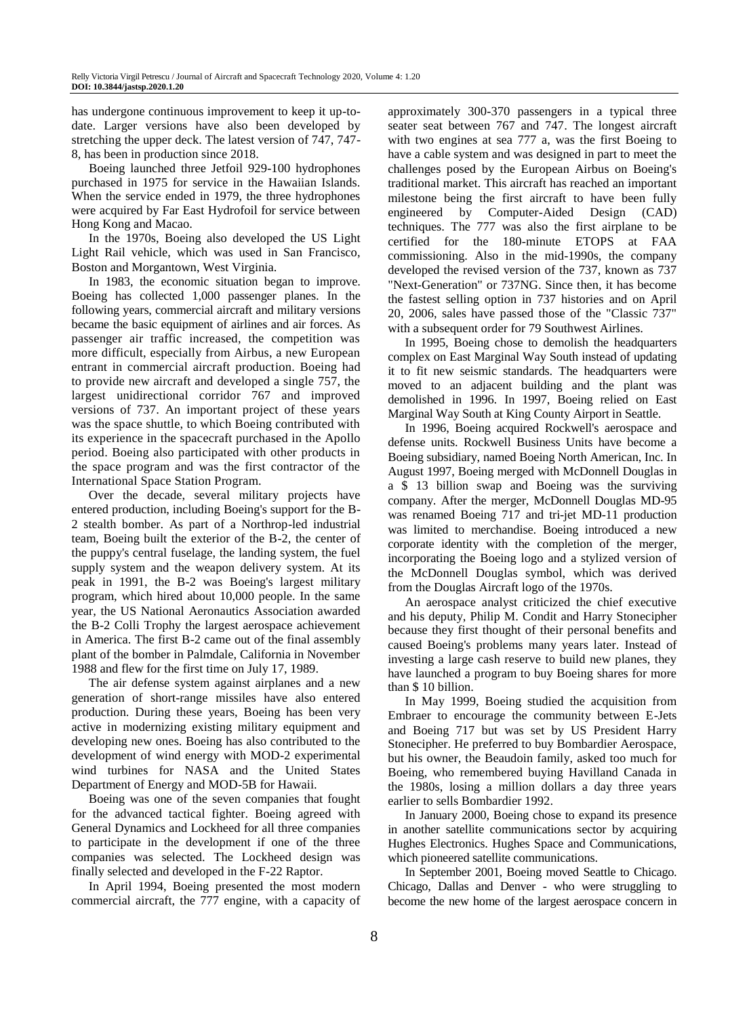has undergone continuous improvement to keep it up-todate. Larger versions have also been developed by stretching the upper deck. The latest version of 747, 747- 8, has been in production since 2018.

Boeing launched three Jetfoil 929-100 hydrophones purchased in 1975 for service in the Hawaiian Islands. When the service ended in 1979, the three hydrophones were acquired by Far East Hydrofoil for service between Hong Kong and Macao.

In the 1970s, Boeing also developed the US Light Light Rail vehicle, which was used in San Francisco, Boston and Morgantown, West Virginia.

In 1983, the economic situation began to improve. Boeing has collected 1,000 passenger planes. In the following years, commercial aircraft and military versions became the basic equipment of airlines and air forces. As passenger air traffic increased, the competition was more difficult, especially from Airbus, a new European entrant in commercial aircraft production. Boeing had to provide new aircraft and developed a single 757, the largest unidirectional corridor 767 and improved versions of 737. An important project of these years was the space shuttle, to which Boeing contributed with its experience in the spacecraft purchased in the Apollo period. Boeing also participated with other products in the space program and was the first contractor of the International Space Station Program.

Over the decade, several military projects have entered production, including Boeing's support for the B-2 stealth bomber. As part of a Northrop-led industrial team, Boeing built the exterior of the B-2, the center of the puppy's central fuselage, the landing system, the fuel supply system and the weapon delivery system. At its peak in 1991, the B-2 was Boeing's largest military program, which hired about 10,000 people. In the same year, the US National Aeronautics Association awarded the B-2 Colli Trophy the largest aerospace achievement in America. The first B-2 came out of the final assembly plant of the bomber in Palmdale, California in November 1988 and flew for the first time on July 17, 1989.

The air defense system against airplanes and a new generation of short-range missiles have also entered production. During these years, Boeing has been very active in modernizing existing military equipment and developing new ones. Boeing has also contributed to the development of wind energy with MOD-2 experimental wind turbines for NASA and the United States Department of Energy and MOD-5B for Hawaii.

Boeing was one of the seven companies that fought for the advanced tactical fighter. Boeing agreed with General Dynamics and Lockheed for all three companies to participate in the development if one of the three companies was selected. The Lockheed design was finally selected and developed in the F-22 Raptor.

In April 1994, Boeing presented the most modern commercial aircraft, the 777 engine, with a capacity of approximately 300-370 passengers in a typical three seater seat between 767 and 747. The longest aircraft with two engines at sea 777 a, was the first Boeing to have a cable system and was designed in part to meet the challenges posed by the European Airbus on Boeing's traditional market. This aircraft has reached an important milestone being the first aircraft to have been fully engineered by Computer-Aided Design (CAD) techniques. The 777 was also the first airplane to be certified for the 180-minute ETOPS at FAA commissioning. Also in the mid-1990s, the company developed the revised version of the 737, known as 737 "Next-Generation" or 737NG. Since then, it has become the fastest selling option in 737 histories and on April 20, 2006, sales have passed those of the "Classic 737" with a subsequent order for 79 Southwest Airlines.

In 1995, Boeing chose to demolish the headquarters complex on East Marginal Way South instead of updating it to fit new seismic standards. The headquarters were moved to an adjacent building and the plant was demolished in 1996. In 1997, Boeing relied on East Marginal Way South at King County Airport in Seattle.

In 1996, Boeing acquired Rockwell's aerospace and defense units. Rockwell Business Units have become a Boeing subsidiary, named Boeing North American, Inc. In August 1997, Boeing merged with McDonnell Douglas in a \$ 13 billion swap and Boeing was the surviving company. After the merger, McDonnell Douglas MD-95 was renamed Boeing 717 and tri-jet MD-11 production was limited to merchandise. Boeing introduced a new corporate identity with the completion of the merger, incorporating the Boeing logo and a stylized version of the McDonnell Douglas symbol, which was derived from the Douglas Aircraft logo of the 1970s.

An aerospace analyst criticized the chief executive and his deputy, Philip M. Condit and Harry Stonecipher because they first thought of their personal benefits and caused Boeing's problems many years later. Instead of investing a large cash reserve to build new planes, they have launched a program to buy Boeing shares for more than \$ 10 billion.

In May 1999, Boeing studied the acquisition from Embraer to encourage the community between E-Jets and Boeing 717 but was set by US President Harry Stonecipher. He preferred to buy Bombardier Aerospace, but his owner, the Beaudoin family, asked too much for Boeing, who remembered buying Havilland Canada in the 1980s, losing a million dollars a day three years earlier to sells Bombardier 1992.

In January 2000, Boeing chose to expand its presence in another satellite communications sector by acquiring Hughes Electronics. Hughes Space and Communications, which pioneered satellite communications.

In September 2001, Boeing moved Seattle to Chicago. Chicago, Dallas and Denver - who were struggling to become the new home of the largest aerospace concern in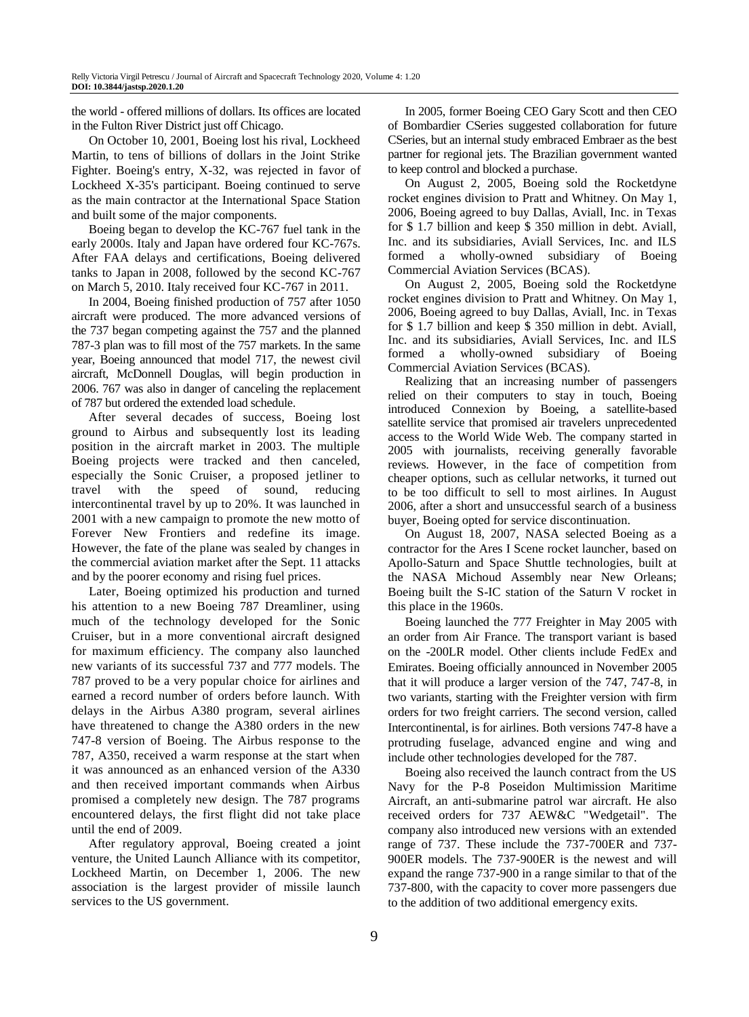the world - offered millions of dollars. Its offices are located in the Fulton River District just off Chicago.

On October 10, 2001, Boeing lost his rival, Lockheed Martin, to tens of billions of dollars in the Joint Strike Fighter. Boeing's entry, X-32, was rejected in favor of Lockheed X-35's participant. Boeing continued to serve as the main contractor at the International Space Station and built some of the major components.

Boeing began to develop the KC-767 fuel tank in the early 2000s. Italy and Japan have ordered four KC-767s. After FAA delays and certifications, Boeing delivered tanks to Japan in 2008, followed by the second KC-767 on March 5, 2010. Italy received four KC-767 in 2011.

In 2004, Boeing finished production of 757 after 1050 aircraft were produced. The more advanced versions of the 737 began competing against the 757 and the planned 787-3 plan was to fill most of the 757 markets. In the same year, Boeing announced that model 717, the newest civil aircraft, McDonnell Douglas, will begin production in 2006. 767 was also in danger of canceling the replacement of 787 but ordered the extended load schedule.

After several decades of success, Boeing lost ground to Airbus and subsequently lost its leading position in the aircraft market in 2003. The multiple Boeing projects were tracked and then canceled, especially the Sonic Cruiser, a proposed jetliner to travel with the speed of sound, reducing intercontinental travel by up to 20%. It was launched in 2001 with a new campaign to promote the new motto of Forever New Frontiers and redefine its image. However, the fate of the plane was sealed by changes in the commercial aviation market after the Sept. 11 attacks and by the poorer economy and rising fuel prices.

Later, Boeing optimized his production and turned his attention to a new Boeing 787 Dreamliner, using much of the technology developed for the Sonic Cruiser, but in a more conventional aircraft designed for maximum efficiency. The company also launched new variants of its successful 737 and 777 models. The 787 proved to be a very popular choice for airlines and earned a record number of orders before launch. With delays in the Airbus A380 program, several airlines have threatened to change the A380 orders in the new 747-8 version of Boeing. The Airbus response to the 787, A350, received a warm response at the start when it was announced as an enhanced version of the A330 and then received important commands when Airbus promised a completely new design. The 787 programs encountered delays, the first flight did not take place until the end of 2009.

After regulatory approval, Boeing created a joint venture, the United Launch Alliance with its competitor, Lockheed Martin, on December 1, 2006. The new association is the largest provider of missile launch services to the US government.

In 2005, former Boeing CEO Gary Scott and then CEO of Bombardier CSeries suggested collaboration for future CSeries, but an internal study embraced Embraer as the best partner for regional jets. The Brazilian government wanted to keep control and blocked a purchase.

On August 2, 2005, Boeing sold the Rocketdyne rocket engines division to Pratt and Whitney. On May 1, 2006, Boeing agreed to buy Dallas, Aviall, Inc. in Texas for \$ 1.7 billion and keep \$ 350 million in debt. Aviall, Inc. and its subsidiaries, Aviall Services, Inc. and ILS formed a wholly-owned subsidiary of Boeing Commercial Aviation Services (BCAS).

On August 2, 2005, Boeing sold the Rocketdyne rocket engines division to Pratt and Whitney. On May 1, 2006, Boeing agreed to buy Dallas, Aviall, Inc. in Texas for \$ 1.7 billion and keep \$ 350 million in debt. Aviall, Inc. and its subsidiaries, Aviall Services, Inc. and ILS formed a wholly-owned subsidiary of Boeing Commercial Aviation Services (BCAS).

Realizing that an increasing number of passengers relied on their computers to stay in touch, Boeing introduced Connexion by Boeing, a satellite-based satellite service that promised air travelers unprecedented access to the World Wide Web. The company started in 2005 with journalists, receiving generally favorable reviews. However, in the face of competition from cheaper options, such as cellular networks, it turned out to be too difficult to sell to most airlines. In August 2006, after a short and unsuccessful search of a business buyer, Boeing opted for service discontinuation.

On August 18, 2007, NASA selected Boeing as a contractor for the Ares I Scene rocket launcher, based on Apollo-Saturn and Space Shuttle technologies, built at the NASA Michoud Assembly near New Orleans; Boeing built the S-IC station of the Saturn V rocket in this place in the 1960s.

Boeing launched the 777 Freighter in May 2005 with an order from Air France. The transport variant is based on the -200LR model. Other clients include FedEx and Emirates. Boeing officially announced in November 2005 that it will produce a larger version of the 747, 747-8, in two variants, starting with the Freighter version with firm orders for two freight carriers. The second version, called Intercontinental, is for airlines. Both versions 747-8 have a protruding fuselage, advanced engine and wing and include other technologies developed for the 787.

Boeing also received the launch contract from the US Navy for the P-8 Poseidon Multimission Maritime Aircraft, an anti-submarine patrol war aircraft. He also received orders for 737 AEW&C "Wedgetail". The company also introduced new versions with an extended range of 737. These include the 737-700ER and 737- 900ER models. The 737-900ER is the newest and will expand the range 737-900 in a range similar to that of the 737-800, with the capacity to cover more passengers due to the addition of two additional emergency exits.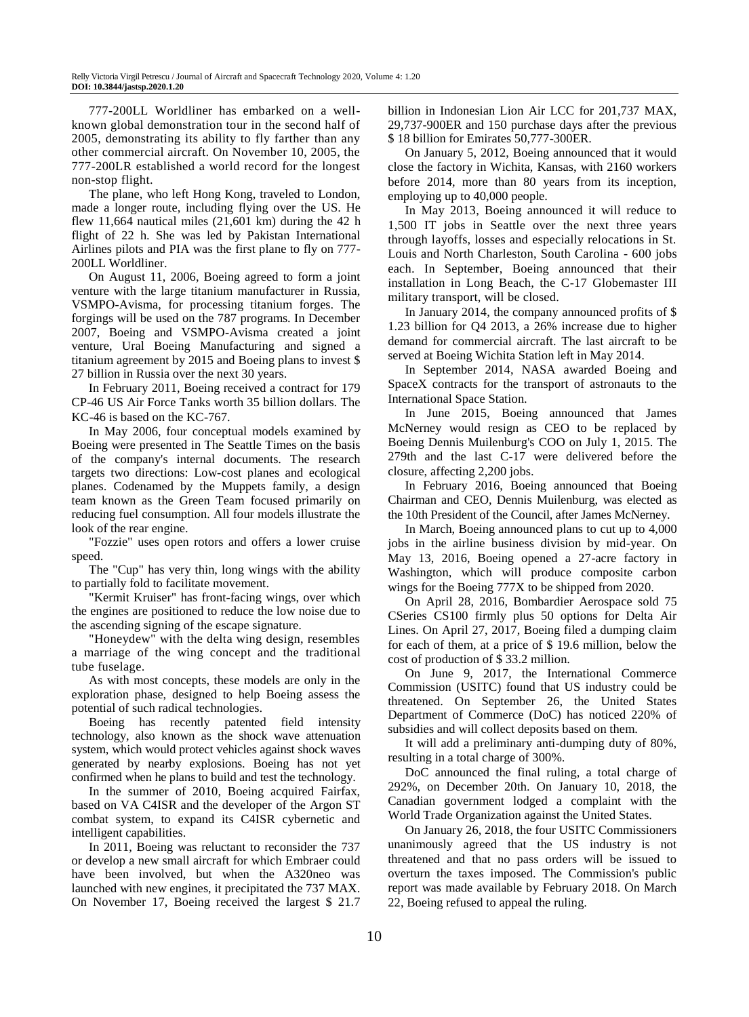777-200LL Worldliner has embarked on a wellknown global demonstration tour in the second half of 2005, demonstrating its ability to fly farther than any other commercial aircraft. On November 10, 2005, the 777-200LR established a world record for the longest non-stop flight.

The plane, who left Hong Kong, traveled to London, made a longer route, including flying over the US. He flew 11,664 nautical miles (21,601 km) during the 42 h flight of 22 h. She was led by Pakistan International Airlines pilots and PIA was the first plane to fly on 777- 200LL Worldliner.

On August 11, 2006, Boeing agreed to form a joint venture with the large titanium manufacturer in Russia, VSMPO-Avisma, for processing titanium forges. The forgings will be used on the 787 programs. In December 2007, Boeing and VSMPO-Avisma created a joint venture, Ural Boeing Manufacturing and signed a titanium agreement by 2015 and Boeing plans to invest \$ 27 billion in Russia over the next 30 years.

In February 2011, Boeing received a contract for 179 CP-46 US Air Force Tanks worth 35 billion dollars. The KC-46 is based on the KC-767.

In May 2006, four conceptual models examined by Boeing were presented in The Seattle Times on the basis of the company's internal documents. The research targets two directions: Low-cost planes and ecological planes. Codenamed by the Muppets family, a design team known as the Green Team focused primarily on reducing fuel consumption. All four models illustrate the look of the rear engine.

"Fozzie" uses open rotors and offers a lower cruise speed.

The "Cup" has very thin, long wings with the ability to partially fold to facilitate movement.

"Kermit Kruiser" has front-facing wings, over which the engines are positioned to reduce the low noise due to the ascending signing of the escape signature.

"Honeydew" with the delta wing design, resembles a marriage of the wing concept and the traditional tube fuselage.

As with most concepts, these models are only in the exploration phase, designed to help Boeing assess the potential of such radical technologies.

Boeing has recently patented field intensity technology, also known as the shock wave attenuation system, which would protect vehicles against shock waves generated by nearby explosions. Boeing has not yet confirmed when he plans to build and test the technology.

In the summer of 2010, Boeing acquired Fairfax, based on VA C4ISR and the developer of the Argon ST combat system, to expand its C4ISR cybernetic and intelligent capabilities.

In 2011, Boeing was reluctant to reconsider the 737 or develop a new small aircraft for which Embraer could have been involved, but when the A320neo was launched with new engines, it precipitated the 737 MAX. On November 17, Boeing received the largest \$ 21.7

billion in Indonesian Lion Air LCC for 201,737 MAX, 29,737-900ER and 150 purchase days after the previous \$ 18 billion for Emirates 50,777-300ER.

On January 5, 2012, Boeing announced that it would close the factory in Wichita, Kansas, with 2160 workers before 2014, more than 80 years from its inception, employing up to 40,000 people.

In May 2013, Boeing announced it will reduce to 1,500 IT jobs in Seattle over the next three years through layoffs, losses and especially relocations in St. Louis and North Charleston, South Carolina - 600 jobs each. In September, Boeing announced that their installation in Long Beach, the C-17 Globemaster III military transport, will be closed.

In January 2014, the company announced profits of \$ 1.23 billion for Q4 2013, a 26% increase due to higher demand for commercial aircraft. The last aircraft to be served at Boeing Wichita Station left in May 2014.

In September 2014, NASA awarded Boeing and SpaceX contracts for the transport of astronauts to the International Space Station.

In June 2015, Boeing announced that James McNerney would resign as CEO to be replaced by Boeing Dennis Muilenburg's COO on July 1, 2015. The 279th and the last C-17 were delivered before the closure, affecting 2,200 jobs.

In February 2016, Boeing announced that Boeing Chairman and CEO, Dennis Muilenburg, was elected as the 10th President of the Council, after James McNerney.

In March, Boeing announced plans to cut up to 4,000 jobs in the airline business division by mid-year. On May 13, 2016, Boeing opened a 27-acre factory in Washington, which will produce composite carbon wings for the Boeing 777X to be shipped from 2020.

On April 28, 2016, Bombardier Aerospace sold 75 CSeries CS100 firmly plus 50 options for Delta Air Lines. On April 27, 2017, Boeing filed a dumping claim for each of them, at a price of \$ 19.6 million, below the cost of production of \$ 33.2 million.

On June 9, 2017, the International Commerce Commission (USITC) found that US industry could be threatened. On September 26, the United States Department of Commerce (DoC) has noticed 220% of subsidies and will collect deposits based on them.

It will add a preliminary anti-dumping duty of 80%, resulting in a total charge of 300%.

DoC announced the final ruling, a total charge of 292%, on December 20th. On January 10, 2018, the Canadian government lodged a complaint with the World Trade Organization against the United States.

On January 26, 2018, the four USITC Commissioners unanimously agreed that the US industry is not threatened and that no pass orders will be issued to overturn the taxes imposed. The Commission's public report was made available by February 2018. On March 22, Boeing refused to appeal the ruling.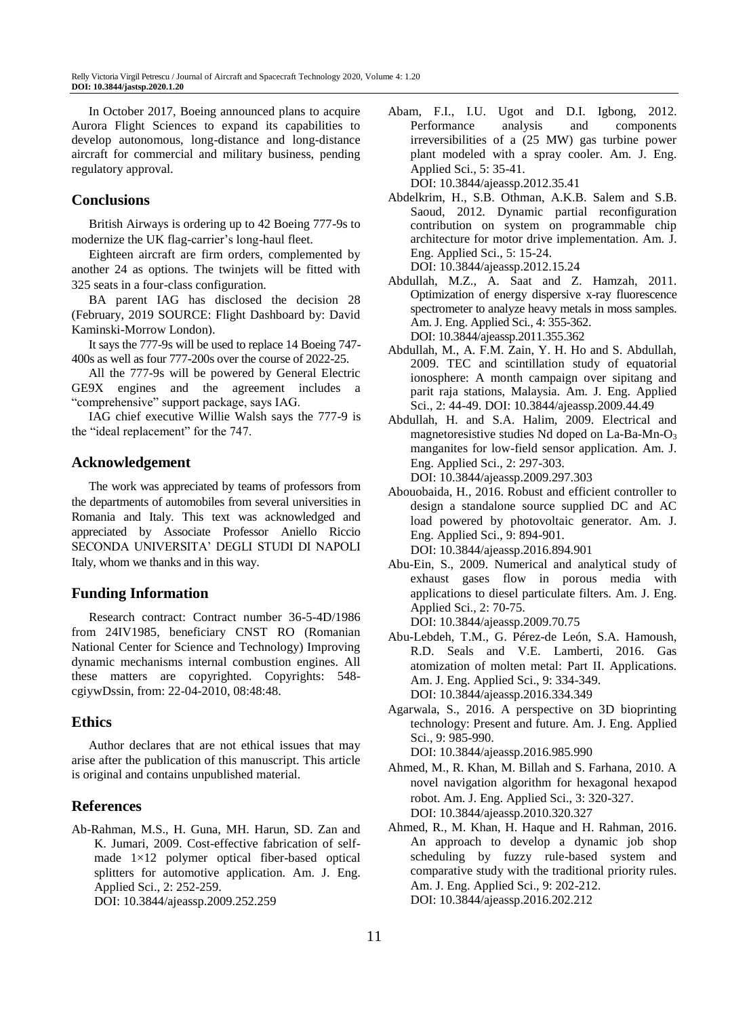In October 2017, Boeing announced plans to acquire Aurora Flight Sciences to expand its capabilities to develop autonomous, long-distance and long-distance aircraft for commercial and military business, pending regulatory approval.

### **Conclusions**

British Airways is ordering up to 42 Boeing 777-9s to modernize the UK flag-carrier's long-haul fleet.

Eighteen aircraft are firm orders, complemented by another 24 as options. The twinjets will be fitted with 325 seats in a four-class configuration.

BA parent IAG has disclosed the decision 28 (February, 2019 SOURCE: Flight Dashboard by: David Kaminski-Morrow London).

It says the 777-9s will be used to replace 14 Boeing 747- 400s as well as four 777-200s over the course of 2022-25.

All the 777-9s will be powered by General Electric GE9X engines and the agreement includes a "comprehensive" support package, says IAG.

IAG chief executive Willie Walsh says the 777-9 is the "ideal replacement" for the 747.

#### **Acknowledgement**

The work was appreciated by teams of professors from the departments of automobiles from several universities in Romania and Italy. This text was acknowledged and appreciated by Associate Professor Aniello Riccio SECONDA UNIVERSITA' DEGLI STUDI DI NAPOLI Italy, whom we thanks and in this way.

#### **Funding Information**

Research contract: Contract number 36-5-4D/1986 from 24IV1985, beneficiary CNST RO (Romanian National Center for Science and Technology) Improving dynamic mechanisms internal combustion engines. All these matters are copyrighted. Copyrights: 548 cgiywDssin, from: 22-04-2010, 08:48:48.

#### **Ethics**

Author declares that are not ethical issues that may arise after the publication of this manuscript. This article is original and contains unpublished material.

#### **References**

Ab-Rahman, M.S., H. Guna, MH. Harun, SD. Zan and K. Jumari, 2009. Cost-effective fabrication of selfmade 1×12 polymer optical fiber-based optical splitters for automotive application. Am. J. Eng. Applied Sci., 2: 252-259. DOI: 10.3844/ajeassp.2009.252.259

Saoud, 2012. Dynamic partial reconfiguration contribution on system on programmable chip architecture for motor drive implementation. Am. J. Eng. Applied Sci., 5: 15-24.

DOI: 10.3844/ajeassp.2012.15.24

Applied Sci., 5: 35-41.

DOI: 10.3844/ajeassp.2012.35.41

Abdullah, M.Z., A. Saat and Z. Hamzah, 2011. Optimization of energy dispersive x-ray fluorescence spectrometer to analyze heavy metals in moss samples. Am. J. Eng. Applied Sci., 4: 355-362. DOI: 10.3844/ajeassp.2011.355.362

Abam, F.I., I.U. Ugot and D.I. Igbong, 2012. Performance analysis and components irreversibilities of a (25 MW) gas turbine power plant modeled with a spray cooler. Am. J. Eng.

Abdelkrim, H., S.B. Othman, A.K.B. Salem and S.B.

- Abdullah, M., A. F.M. Zain, Y. H. Ho and S. Abdullah, 2009. TEC and scintillation study of equatorial ionosphere: A month campaign over sipitang and parit raja stations, Malaysia. Am. J. Eng. Applied Sci., 2: 44-49. DOI: 10.3844/ajeassp.2009.44.49
- Abdullah, H. and S.A. Halim, 2009. Electrical and magnetoresistive studies Nd doped on La-Ba-Mn-O<sup>3</sup> manganites for low-field sensor application. Am. J. Eng. Applied Sci., 2: 297-303. DOI: 10.3844/ajeassp.2009.297.303
- Abouobaida, H., 2016. Robust and efficient controller to design a standalone source supplied DC and AC load powered by photovoltaic generator. Am. J. Eng. Applied Sci., 9: 894-901. DOI: 10.3844/ajeassp.2016.894.901
- Abu-Ein, S., 2009. Numerical and analytical study of exhaust gases flow in porous media with applications to diesel particulate filters. Am. J. Eng. Applied Sci., 2: 70-75. DOI: 10.3844/ajeassp.2009.70.75

Abu-Lebdeh, T.M., G. Pérez-de León, S.A. Hamoush, R.D. Seals and V.E. Lamberti, 2016. Gas atomization of molten metal: Part II. Applications. Am. J. Eng. Applied Sci., 9: 334-349. DOI: 10.3844/ajeassp.2016.334.349

Agarwala, S., 2016. A perspective on 3D bioprinting technology: Present and future. Am. J. Eng. Applied Sci., 9: 985-990.

DOI: 10.3844/ajeassp.2016.985.990

- Ahmed, M., R. Khan, M. Billah and S. Farhana, 2010. A novel navigation algorithm for hexagonal hexapod robot. Am. J. Eng. Applied Sci., 3: 320-327. DOI: 10.3844/ajeassp.2010.320.327
- Ahmed, R., M. Khan, H. Haque and H. Rahman, 2016. An approach to develop a dynamic job shop scheduling by fuzzy rule-based system and comparative study with the traditional priority rules. Am. J. Eng. Applied Sci., 9: 202-212. DOI: 10.3844/ajeassp.2016.202.212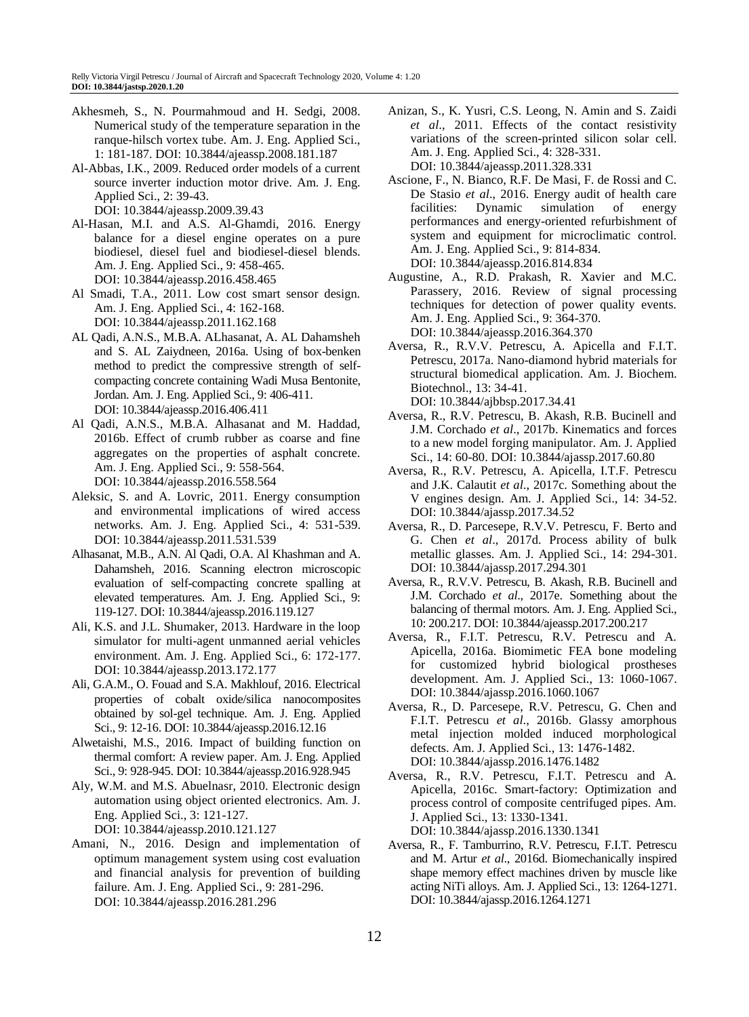- Akhesmeh, S., N. Pourmahmoud and H. Sedgi, 2008. Numerical study of the temperature separation in the ranque-hilsch vortex tube. Am. J. Eng. Applied Sci., 1: 181-187. DOI: 10.3844/ajeassp.2008.181.187
- Al-Abbas, I.K., 2009. Reduced order models of a current source inverter induction motor drive. Am. J. Eng. Applied Sci., 2: 39-43. DOI: 10.3844/ajeassp.2009.39.43
- Al-Hasan, M.I. and A.S. Al-Ghamdi, 2016. Energy balance for a diesel engine operates on a pure biodiesel, diesel fuel and biodiesel-diesel blends. Am. J. Eng. Applied Sci., 9: 458-465. DOI: 10.3844/ajeassp.2016.458.465
- Al Smadi, T.A., 2011. Low cost smart sensor design. Am. J. Eng. Applied Sci., 4: 162-168. DOI: 10.3844/ajeassp.2011.162.168
- AL Qadi, A.N.S., M.B.A. ALhasanat, A. AL Dahamsheh and S. AL Zaiydneen, 2016a. Using of box-benken method to predict the compressive strength of selfcompacting concrete containing Wadi Musa Bentonite, Jordan. Am. J. Eng. Applied Sci., 9: 406-411. DOI: 10.3844/ajeassp.2016.406.411
- Al Qadi, A.N.S., M.B.A. Alhasanat and M. Haddad, 2016b. Effect of crumb rubber as coarse and fine aggregates on the properties of asphalt concrete. Am. J. Eng. Applied Sci., 9: 558-564. DOI: 10.3844/ajeassp.2016.558.564
- Aleksic, S. and A. Lovric, 2011. Energy consumption and environmental implications of wired access networks. Am. J. Eng. Applied Sci., 4: 531-539. DOI: 10.3844/ajeassp.2011.531.539
- Alhasanat, M.B., A.N. Al Qadi, O.A. Al Khashman and A. Dahamsheh, 2016. Scanning electron microscopic evaluation of self-compacting concrete spalling at elevated temperatures. Am. J. Eng. Applied Sci., 9: 119-127. DOI: 10.3844/ajeassp.2016.119.127
- Ali, K.S. and J.L. Shumaker, 2013. Hardware in the loop simulator for multi-agent unmanned aerial vehicles environment. Am. J. Eng. Applied Sci., 6: 172-177. DOI: 10.3844/ajeassp.2013.172.177
- Ali, G.A.M., O. Fouad and S.A. Makhlouf, 2016. Electrical properties of cobalt oxide/silica nanocomposites obtained by sol-gel technique. Am. J. Eng. Applied Sci., 9: 12-16. DOI: 10.3844/ajeassp.2016.12.16
- Alwetaishi, M.S., 2016. Impact of building function on thermal comfort: A review paper. Am. J. Eng. Applied Sci., 9: 928-945. DOI: 10.3844/ajeassp.2016.928.945
- Aly, W.M. and M.S. Abuelnasr, 2010. Electronic design automation using object oriented electronics. Am. J. Eng. Applied Sci., 3: 121-127.

DOI: 10.3844/ajeassp.2010.121.127

Amani, N., 2016. Design and implementation of optimum management system using cost evaluation and financial analysis for prevention of building failure. Am. J. Eng. Applied Sci., 9: 281-296. DOI: 10.3844/ajeassp.2016.281.296

- Anizan, S., K. Yusri, C.S. Leong, N. Amin and S. Zaidi *et al*., 2011. Effects of the contact resistivity variations of the screen-printed silicon solar cell. Am. J. Eng. Applied Sci., 4: 328-331. DOI: 10.3844/ajeassp.2011.328.331
- Ascione, F., N. Bianco, R.F. De Masi, F. de Rossi and C. De Stasio *et al*., 2016. Energy audit of health care facilities: Dynamic simulation of energy performances and energy-oriented refurbishment of system and equipment for microclimatic control. Am. J. Eng. Applied Sci., 9: 814-834. DOI: 10.3844/ajeassp.2016.814.834
- Augustine, A., R.D. Prakash, R. Xavier and M.C. Parassery, 2016. Review of signal processing techniques for detection of power quality events. Am. J. Eng. Applied Sci., 9: 364-370. DOI: 10.3844/ajeassp.2016.364.370
- Aversa, R., R.V.V. Petrescu, A. Apicella and F.I.T. Petrescu, 2017a. Nano-diamond hybrid materials for structural biomedical application. Am. J. Biochem. Biotechnol., 13: 34-41. DOI: 10.3844/ajbbsp.2017.34.41
- Aversa, R., R.V. Petrescu, B. Akash, R.B. Bucinell and J.M. Corchado *et al*., 2017b. Kinematics and forces to a new model forging manipulator. Am. J. Applied Sci., 14: 60-80. DOI: 10.3844/ajassp.2017.60.80
- Aversa, R., R.V. Petrescu, A. Apicella, I.T.F. Petrescu and J.K. Calautit *et al*., 2017c. Something about the V engines design. Am. J. Applied Sci., 14: 34-52. DOI: 10.3844/ajassp.2017.34.52
- Aversa, R., D. Parcesepe, R.V.V. Petrescu, F. Berto and G. Chen *et al*., 2017d. Process ability of bulk metallic glasses. Am. J. Applied Sci., 14: 294-301. DOI: 10.3844/ajassp.2017.294.301
- Aversa, R., R.V.V. Petrescu, B. Akash, R.B. Bucinell and J.M. Corchado *et al*., 2017e. Something about the balancing of thermal motors. Am. J. Eng. Applied Sci., 10: 200.217. DOI: 10.3844/ajeassp.2017.200.217
- Aversa, R., F.I.T. Petrescu, R.V. Petrescu and A. Apicella, 2016a. Biomimetic FEA bone modeling for customized hybrid biological prostheses development. Am. J. Applied Sci., 13: 1060-1067. DOI: 10.3844/ajassp.2016.1060.1067
- Aversa, R., D. Parcesepe, R.V. Petrescu, G. Chen and F.I.T. Petrescu *et al*., 2016b. Glassy amorphous metal injection molded induced morphological defects. Am. J. Applied Sci., 13: 1476-1482. DOI: 10.3844/ajassp.2016.1476.1482
- Aversa, R., R.V. Petrescu, F.I.T. Petrescu and A. Apicella, 2016c. Smart-factory: Optimization and process control of composite centrifuged pipes. Am. J. Applied Sci., 13: 1330-1341. DOI: 10.3844/ajassp.2016.1330.1341
- Aversa, R., F. Tamburrino, R.V. Petrescu, F.I.T. Petrescu and M. Artur *et al*., 2016d. Biomechanically inspired shape memory effect machines driven by muscle like acting NiTi alloys. Am. J. Applied Sci., 13: 1264-1271. DOI: 10.3844/ajassp.2016.1264.1271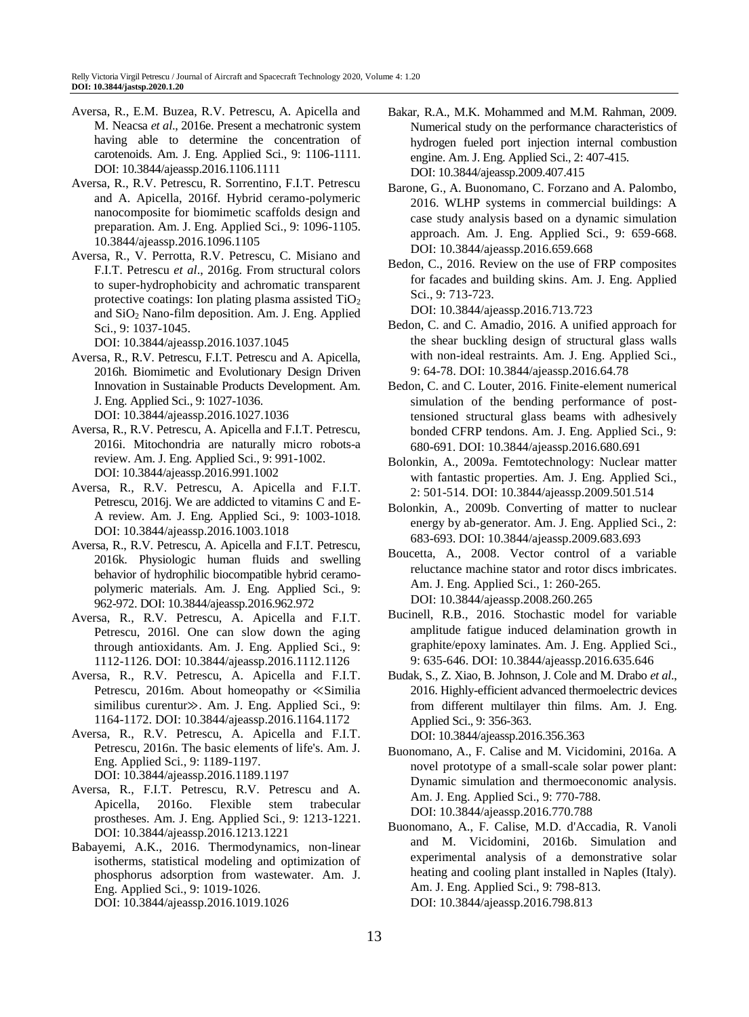- Aversa, R., E.M. Buzea, R.V. Petrescu, A. Apicella and M. Neacsa *et al*., 2016e. Present a mechatronic system having able to determine the concentration of carotenoids. Am. J. Eng. Applied Sci., 9: 1106-1111. DOI: 10.3844/ajeassp.2016.1106.1111
- Aversa, R., R.V. Petrescu, R. Sorrentino, F.I.T. Petrescu and A. Apicella, 2016f. Hybrid ceramo-polymeric nanocomposite for biomimetic scaffolds design and preparation. Am. J. Eng. Applied Sci., 9: 1096-1105. 10.3844/ajeassp.2016.1096.1105
- Aversa, R., V. Perrotta, R.V. Petrescu, C. Misiano and F.I.T. Petrescu *et al*., 2016g. From structural colors to super-hydrophobicity and achromatic transparent protective coatings: Ion plating plasma assisted TiO<sup>2</sup> and SiO<sup>2</sup> Nano-film deposition. Am. J. Eng. Applied Sci., 9: 1037-1045.

DOI: 10.3844/ajeassp.2016.1037.1045

- Aversa, R., R.V. Petrescu, F.I.T. Petrescu and A. Apicella, 2016h. Biomimetic and Evolutionary Design Driven Innovation in Sustainable Products Development. Am. J. Eng. Applied Sci., 9: 1027-1036. DOI: 10.3844/ajeassp.2016.1027.1036
- Aversa, R., R.V. Petrescu, A. Apicella and F.I.T. Petrescu, 2016i. Mitochondria are naturally micro robots-a review. Am. J. Eng. Applied Sci., 9: 991-1002. DOI: 10.3844/ajeassp.2016.991.1002
- Aversa, R., R.V. Petrescu, A. Apicella and F.I.T. Petrescu, 2016j. We are addicted to vitamins C and E-A review. Am. J. Eng. Applied Sci., 9: 1003-1018. DOI: 10.3844/ajeassp.2016.1003.1018
- Aversa, R., R.V. Petrescu, A. Apicella and F.I.T. Petrescu, 2016k. Physiologic human fluids and swelling behavior of hydrophilic biocompatible hybrid ceramopolymeric materials. Am. J. Eng. Applied Sci., 9: 962-972. DOI: 10.3844/ajeassp.2016.962.972
- Aversa, R., R.V. Petrescu, A. Apicella and F.I.T. Petrescu, 2016l. One can slow down the aging through antioxidants. Am. J. Eng. Applied Sci., 9: 1112-1126. DOI: 10.3844/ajeassp.2016.1112.1126
- Aversa, R., R.V. Petrescu, A. Apicella and F.I.T. Petrescu, 2016m. About homeopathy or ≪Similia similibus curentur≫. Am. J. Eng. Applied Sci., 9: 1164-1172. DOI: 10.3844/ajeassp.2016.1164.1172
- Aversa, R., R.V. Petrescu, A. Apicella and F.I.T. Petrescu, 2016n. The basic elements of life's. Am. J. Eng. Applied Sci., 9: 1189-1197. DOI: 10.3844/ajeassp.2016.1189.1197
- Aversa, R., F.I.T. Petrescu, R.V. Petrescu and A. Apicella, 2016o. Flexible stem trabecular prostheses. Am. J. Eng. Applied Sci., 9: 1213-1221. DOI: 10.3844/ajeassp.2016.1213.1221
- Babayemi, A.K., 2016. Thermodynamics, non-linear isotherms, statistical modeling and optimization of phosphorus adsorption from wastewater. Am. J. Eng. Applied Sci., 9: 1019-1026. DOI: 10.3844/ajeassp.2016.1019.1026
- Bakar, R.A., M.K. Mohammed and M.M. Rahman, 2009. Numerical study on the performance characteristics of hydrogen fueled port injection internal combustion engine. Am. J. Eng. Applied Sci., 2: 407-415. DOI: 10.3844/ajeassp.2009.407.415
- Barone, G., A. Buonomano, C. Forzano and A. Palombo, 2016. WLHP systems in commercial buildings: A case study analysis based on a dynamic simulation approach. Am. J. Eng. Applied Sci., 9: 659-668. DOI: 10.3844/ajeassp.2016.659.668
- Bedon, C., 2016. Review on the use of FRP composites for facades and building skins. Am. J. Eng. Applied Sci., 9: 713-723.

DOI: 10.3844/ajeassp.2016.713.723

- Bedon, C. and C. Amadio, 2016. A unified approach for the shear buckling design of structural glass walls with non-ideal restraints. Am. J. Eng. Applied Sci., 9: 64-78. DOI: 10.3844/ajeassp.2016.64.78
- Bedon, C. and C. Louter, 2016. Finite-element numerical simulation of the bending performance of posttensioned structural glass beams with adhesively bonded CFRP tendons. Am. J. Eng. Applied Sci., 9: 680-691. DOI: 10.3844/ajeassp.2016.680.691
- Bolonkin, A., 2009a. Femtotechnology: Nuclear matter with fantastic properties. Am. J. Eng. Applied Sci., 2: 501-514. DOI: 10.3844/ajeassp.2009.501.514
- Bolonkin, A., 2009b. Converting of matter to nuclear energy by ab-generator. Am. J. Eng. Applied Sci., 2: 683-693. DOI: 10.3844/ajeassp.2009.683.693
- Boucetta, A., 2008. Vector control of a variable reluctance machine stator and rotor discs imbricates. Am. J. Eng. Applied Sci., 1: 260-265. DOI: 10.3844/ajeassp.2008.260.265
- Bucinell, R.B., 2016. Stochastic model for variable amplitude fatigue induced delamination growth in graphite/epoxy laminates. Am. J. Eng. Applied Sci., 9: 635-646. DOI: 10.3844/ajeassp.2016.635.646
- Budak, S., Z. Xiao, B. Johnson, J. Cole and M. Drabo *et al*., 2016. Highly-efficient advanced thermoelectric devices from different multilayer thin films. Am. J. Eng. Applied Sci., 9: 356-363. DOI: 10.3844/ajeassp.2016.356.363
- Buonomano, A., F. Calise and M. Vicidomini, 2016a. A novel prototype of a small-scale solar power plant: Dynamic simulation and thermoeconomic analysis. Am. J. Eng. Applied Sci., 9: 770-788. DOI: 10.3844/ajeassp.2016.770.788

Buonomano, A., F. Calise, M.D. d'Accadia, R. Vanoli and M. Vicidomini, 2016b. Simulation and experimental analysis of a demonstrative solar heating and cooling plant installed in Naples (Italy). Am. J. Eng. Applied Sci., 9: 798-813. DOI: 10.3844/ajeassp.2016.798.813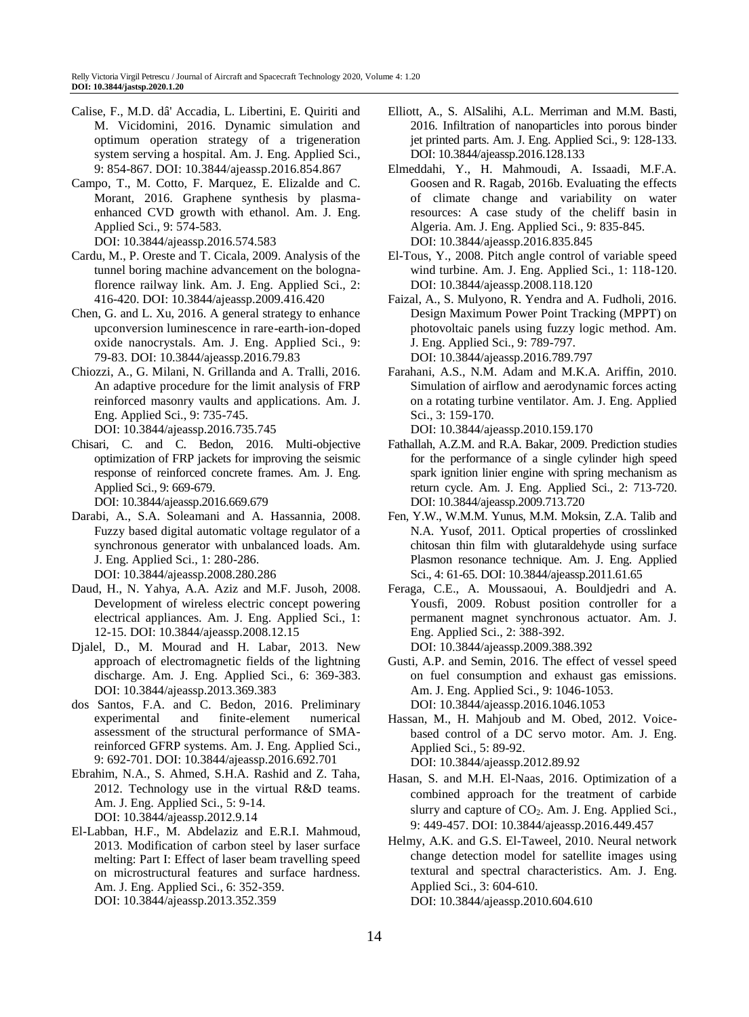- Calise, F., M.D. dâ' Accadia, L. Libertini, E. Quiriti and M. Vicidomini, 2016. Dynamic simulation and optimum operation strategy of a trigeneration system serving a hospital. Am. J. Eng. Applied Sci., 9: 854-867. DOI: 10.3844/ajeassp.2016.854.867
- Campo, T., M. Cotto, F. Marquez, E. Elizalde and C. Morant, 2016. Graphene synthesis by plasmaenhanced CVD growth with ethanol. Am. J. Eng. Applied Sci., 9: 574-583. DOI: 10.3844/ajeassp.2016.574.583
- Cardu, M., P. Oreste and T. Cicala, 2009. Analysis of the tunnel boring machine advancement on the bolognaflorence railway link. Am. J. Eng. Applied Sci., 2: 416-420. DOI: 10.3844/ajeassp.2009.416.420
- Chen, G. and L. Xu, 2016. A general strategy to enhance upconversion luminescence in rare-earth-ion-doped oxide nanocrystals. Am. J. Eng. Applied Sci., 9: 79-83. DOI: 10.3844/ajeassp.2016.79.83
- Chiozzi, A., G. Milani, N. Grillanda and A. Tralli, 2016. An adaptive procedure for the limit analysis of FRP reinforced masonry vaults and applications. Am. J. Eng. Applied Sci., 9: 735-745.

DOI: 10.3844/ajeassp.2016.735.745

Chisari, C. and C. Bedon, 2016. Multi-objective optimization of FRP jackets for improving the seismic response of reinforced concrete frames. Am. J. Eng. Applied Sci., 9: 669-679.

DOI: 10.3844/ajeassp.2016.669.679

- Darabi, A., S.A. Soleamani and A. Hassannia, 2008. Fuzzy based digital automatic voltage regulator of a synchronous generator with unbalanced loads. Am. J. Eng. Applied Sci., 1: 280-286. DOI: 10.3844/ajeassp.2008.280.286
- Daud, H., N. Yahya, A.A. Aziz and M.F. Jusoh, 2008. Development of wireless electric concept powering electrical appliances. Am. J. Eng. Applied Sci., 1: 12-15. DOI: 10.3844/ajeassp.2008.12.15
- Djalel, D., M. Mourad and H. Labar, 2013. New approach of electromagnetic fields of the lightning discharge. Am. J. Eng. Applied Sci., 6: 369-383. DOI: 10.3844/ajeassp.2013.369.383
- dos Santos, F.A. and C. Bedon, 2016. Preliminary experimental and finite-element numerical assessment of the structural performance of SMAreinforced GFRP systems. Am. J. Eng. Applied Sci., 9: 692-701. DOI: 10.3844/ajeassp.2016.692.701
- Ebrahim, N.A., S. Ahmed, S.H.A. Rashid and Z. Taha, 2012. Technology use in the virtual R&D teams. Am. J. Eng. Applied Sci., 5: 9-14. DOI: 10.3844/ajeassp.2012.9.14
- El-Labban, H.F., M. Abdelaziz and E.R.I. Mahmoud, 2013. Modification of carbon steel by laser surface melting: Part I: Effect of laser beam travelling speed on microstructural features and surface hardness. Am. J. Eng. Applied Sci., 6: 352-359. DOI: 10.3844/ajeassp.2013.352.359
- Elliott, A., S. AlSalihi, A.L. Merriman and M.M. Basti, 2016. Infiltration of nanoparticles into porous binder jet printed parts. Am. J. Eng. Applied Sci., 9: 128-133. DOI: 10.3844/ajeassp.2016.128.133
- Elmeddahi, Y., H. Mahmoudi, A. Issaadi, M.F.A. Goosen and R. Ragab, 2016b. Evaluating the effects of climate change and variability on water resources: A case study of the cheliff basin in Algeria. Am. J. Eng. Applied Sci., 9: 835-845. DOI: 10.3844/ajeassp.2016.835.845
- El-Tous, Y., 2008. Pitch angle control of variable speed wind turbine. Am. J. Eng. Applied Sci., 1: 118-120. DOI: 10.3844/ajeassp.2008.118.120
- Faizal, A., S. Mulyono, R. Yendra and A. Fudholi, 2016. Design Maximum Power Point Tracking (MPPT) on photovoltaic panels using fuzzy logic method. Am. J. Eng. Applied Sci., 9: 789-797. DOI: 10.3844/ajeassp.2016.789.797
- Farahani, A.S., N.M. Adam and M.K.A. Ariffin, 2010. Simulation of airflow and aerodynamic forces acting on a rotating turbine ventilator. Am. J. Eng. Applied Sci., 3: 159-170.

DOI: 10.3844/ajeassp.2010.159.170

- Fathallah, A.Z.M. and R.A. Bakar, 2009. Prediction studies for the performance of a single cylinder high speed spark ignition linier engine with spring mechanism as return cycle. Am. J. Eng. Applied Sci., 2: 713-720. DOI: 10.3844/ajeassp.2009.713.720
- Fen, Y.W., W.M.M. Yunus, M.M. Moksin, Z.A. Talib and N.A. Yusof, 2011. Optical properties of crosslinked chitosan thin film with glutaraldehyde using surface Plasmon resonance technique. Am. J. Eng. Applied Sci., 4: 61-65. DOI: 10.3844/ajeassp.2011.61.65
- Feraga, C.E., A. Moussaoui, A. Bouldjedri and A. Yousfi, 2009. Robust position controller for a permanent magnet synchronous actuator. Am. J. Eng. Applied Sci., 2: 388-392. DOI: 10.3844/ajeassp.2009.388.392
- Gusti, A.P. and Semin, 2016. The effect of vessel speed on fuel consumption and exhaust gas emissions. Am. J. Eng. Applied Sci., 9: 1046-1053. DOI: 10.3844/ajeassp.2016.1046.1053
- Hassan, M., H. Mahjoub and M. Obed, 2012. Voicebased control of a DC servo motor. Am. J. Eng. Applied Sci., 5: 89-92. DOI: 10.3844/ajeassp.2012.89.92
- Hasan, S. and M.H. El-Naas, 2016. Optimization of a combined approach for the treatment of carbide slurry and capture of CO<sub>2</sub>. Am. J. Eng. Applied Sci., 9: 449-457. DOI: 10.3844/ajeassp.2016.449.457
- Helmy, A.K. and G.S. El-Taweel, 2010. Neural network change detection model for satellite images using textural and spectral characteristics. Am. J. Eng. Applied Sci., 3: 604-610. DOI: 10.3844/ajeassp.2010.604.610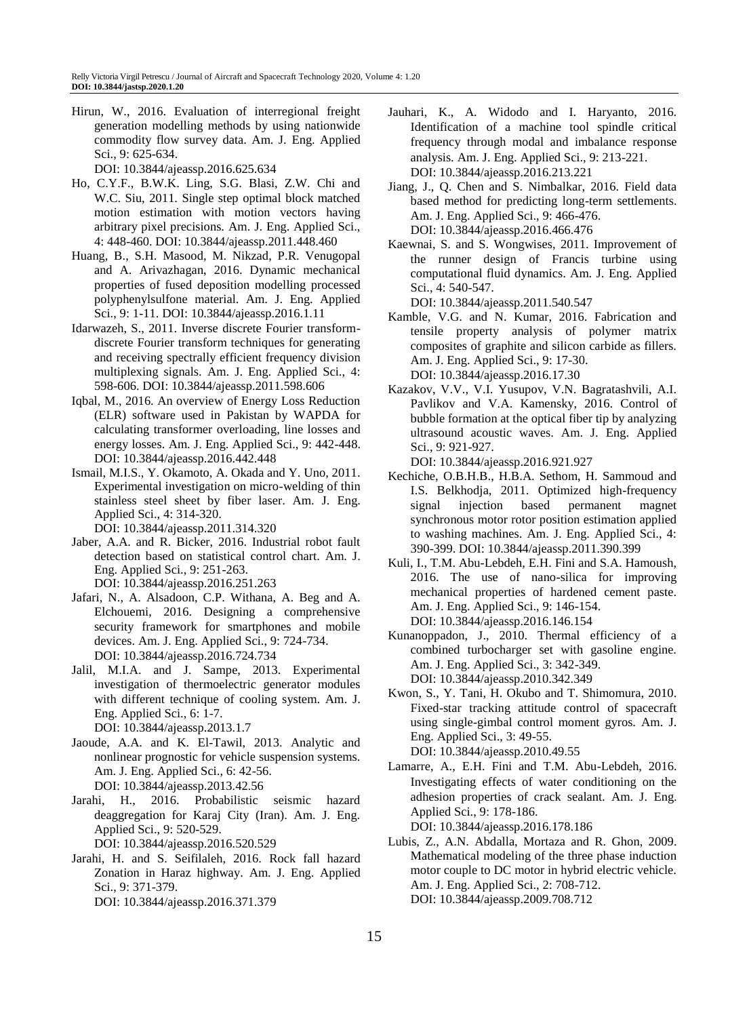Hirun, W., 2016. Evaluation of interregional freight generation modelling methods by using nationwide commodity flow survey data. Am. J. Eng. Applied Sci., 9: 625-634.

DOI: 10.3844/ajeassp.2016.625.634

- Ho, C.Y.F., B.W.K. Ling, S.G. Blasi, Z.W. Chi and W.C. Siu, 2011. Single step optimal block matched motion estimation with motion vectors having arbitrary pixel precisions. Am. J. Eng. Applied Sci., 4: 448-460. DOI: 10.3844/ajeassp.2011.448.460
- Huang, B., S.H. Masood, M. Nikzad, P.R. Venugopal and A. Arivazhagan, 2016. Dynamic mechanical properties of fused deposition modelling processed polyphenylsulfone material. Am. J. Eng. Applied Sci., 9: 1-11. DOI: 10.3844/ajeassp.2016.1.11
- Idarwazeh, S., 2011. Inverse discrete Fourier transformdiscrete Fourier transform techniques for generating and receiving spectrally efficient frequency division multiplexing signals. Am. J. Eng. Applied Sci., 4: 598-606. DOI: 10.3844/ajeassp.2011.598.606
- Iqbal, M., 2016. An overview of Energy Loss Reduction (ELR) software used in Pakistan by WAPDA for calculating transformer overloading, line losses and energy losses. Am. J. Eng. Applied Sci., 9: 442-448. DOI: 10.3844/ajeassp.2016.442.448
- Ismail, M.I.S., Y. Okamoto, A. Okada and Y. Uno, 2011. Experimental investigation on micro-welding of thin stainless steel sheet by fiber laser. Am. J. Eng. Applied Sci., 4: 314-320.

DOI: 10.3844/ajeassp.2011.314.320

- Jaber, A.A. and R. Bicker, 2016. Industrial robot fault detection based on statistical control chart. Am. J. Eng. Applied Sci., 9: 251-263. DOI: 10.3844/ajeassp.2016.251.263
- Jafari, N., A. Alsadoon, C.P. Withana, A. Beg and A. Elchouemi, 2016. Designing a comprehensive security framework for smartphones and mobile devices. Am. J. Eng. Applied Sci., 9: 724-734. DOI: 10.3844/ajeassp.2016.724.734
- Jalil, M.I.A. and J. Sampe, 2013. Experimental investigation of thermoelectric generator modules with different technique of cooling system. Am. J. Eng. Applied Sci., 6: 1-7. DOI: 10.3844/ajeassp.2013.1.7
- Jaoude, A.A. and K. El-Tawil, 2013. Analytic and nonlinear prognostic for vehicle suspension systems. Am. J. Eng. Applied Sci., 6: 42-56. DOI: 10.3844/ajeassp.2013.42.56
- Jarahi, H., 2016. Probabilistic seismic hazard deaggregation for Karaj City (Iran). Am. J. Eng. Applied Sci., 9: 520-529. DOI: 10.3844/ajeassp.2016.520.529
- Jarahi, H. and S. Seifilaleh, 2016. Rock fall hazard Zonation in Haraz highway. Am. J. Eng. Applied Sci., 9: 371-379. DOI: 10.3844/ajeassp.2016.371.379
- Jauhari, K., A. Widodo and I. Haryanto, 2016. Identification of a machine tool spindle critical frequency through modal and imbalance response analysis. Am. J. Eng. Applied Sci., 9: 213-221. DOI: 10.3844/ajeassp.2016.213.221
- Jiang, J., Q. Chen and S. Nimbalkar, 2016. Field data based method for predicting long-term settlements. Am. J. Eng. Applied Sci., 9: 466-476. DOI: 10.3844/ajeassp.2016.466.476
- Kaewnai, S. and S. Wongwises, 2011. Improvement of the runner design of Francis turbine using computational fluid dynamics. Am. J. Eng. Applied Sci., 4: 540-547.

DOI: 10.3844/ajeassp.2011.540.547

- Kamble, V.G. and N. Kumar, 2016. Fabrication and tensile property analysis of polymer matrix composites of graphite and silicon carbide as fillers. Am. J. Eng. Applied Sci., 9: 17-30. DOI: 10.3844/ajeassp.2016.17.30
- Kazakov, V.V., V.I. Yusupov, V.N. Bagratashvili, A.I. Pavlikov and V.A. Kamensky, 2016. Control of bubble formation at the optical fiber tip by analyzing ultrasound acoustic waves. Am. J. Eng. Applied Sci., 9: 921-927.

DOI: 10.3844/ajeassp.2016.921.927

- Kechiche, O.B.H.B., H.B.A. Sethom, H. Sammoud and I.S. Belkhodja, 2011. Optimized high-frequency signal injection based permanent magnet synchronous motor rotor position estimation applied to washing machines. Am. J. Eng. Applied Sci., 4: 390-399. DOI: 10.3844/ajeassp.2011.390.399
- Kuli, I., T.M. Abu-Lebdeh, E.H. Fini and S.A. Hamoush, 2016. The use of nano-silica for improving mechanical properties of hardened cement paste. Am. J. Eng. Applied Sci., 9: 146-154. DOI: 10.3844/ajeassp.2016.146.154
- Kunanoppadon, J., 2010. Thermal efficiency of a combined turbocharger set with gasoline engine. Am. J. Eng. Applied Sci., 3: 342-349. DOI: 10.3844/ajeassp.2010.342.349
- Kwon, S., Y. Tani, H. Okubo and T. Shimomura, 2010. Fixed-star tracking attitude control of spacecraft using single-gimbal control moment gyros. Am. J. Eng. Applied Sci., 3: 49-55.
	- DOI: 10.3844/ajeassp.2010.49.55
- Lamarre, A., E.H. Fini and T.M. Abu-Lebdeh, 2016. Investigating effects of water conditioning on the adhesion properties of crack sealant. Am. J. Eng. Applied Sci., 9: 178-186.

DOI: 10.3844/ajeassp.2016.178.186

Lubis, Z., A.N. Abdalla, Mortaza and R. Ghon, 2009. Mathematical modeling of the three phase induction motor couple to DC motor in hybrid electric vehicle. Am. J. Eng. Applied Sci., 2: 708-712. DOI: 10.3844/ajeassp.2009.708.712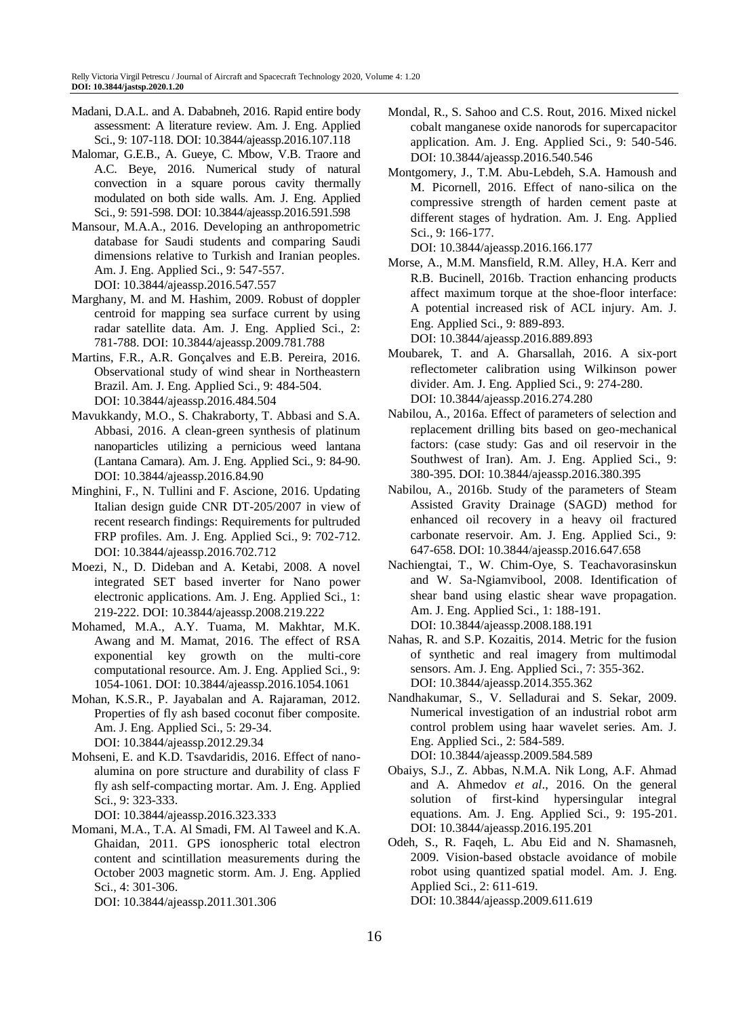- Madani, D.A.L. and A. Dababneh, 2016. Rapid entire body assessment: A literature review. Am. J. Eng. Applied Sci., 9: 107-118. DOI: 10.3844/ajeassp.2016.107.118
- Malomar, G.E.B., A. Gueye, C. Mbow, V.B. Traore and A.C. Beye, 2016. Numerical study of natural convection in a square porous cavity thermally modulated on both side walls. Am. J. Eng. Applied Sci., 9: 591-598. DOI: 10.3844/ajeassp.2016.591.598
- Mansour, M.A.A., 2016. Developing an anthropometric database for Saudi students and comparing Saudi dimensions relative to Turkish and Iranian peoples. Am. J. Eng. Applied Sci., 9: 547-557. DOI: 10.3844/ajeassp.2016.547.557
- Marghany, M. and M. Hashim, 2009. Robust of doppler centroid for mapping sea surface current by using radar satellite data. Am. J. Eng. Applied Sci., 2: 781-788. DOI: 10.3844/ajeassp.2009.781.788
- Martins, F.R., A.R. Gonçalves and E.B. Pereira, 2016. Observational study of wind shear in Northeastern Brazil. Am. J. Eng. Applied Sci., 9: 484-504. DOI: 10.3844/ajeassp.2016.484.504
- Mavukkandy, M.O., S. Chakraborty, T. Abbasi and S.A. Abbasi, 2016. A clean-green synthesis of platinum nanoparticles utilizing a pernicious weed lantana (Lantana Camara). Am. J. Eng. Applied Sci., 9: 84-90. DOI: 10.3844/ajeassp.2016.84.90
- Minghini, F., N. Tullini and F. Ascione, 2016. Updating Italian design guide CNR DT-205/2007 in view of recent research findings: Requirements for pultruded FRP profiles. Am. J. Eng. Applied Sci., 9: 702-712. DOI: 10.3844/ajeassp.2016.702.712
- Moezi, N., D. Dideban and A. Ketabi, 2008. A novel integrated SET based inverter for Nano power electronic applications. Am. J. Eng. Applied Sci., 1: 219-222. DOI: 10.3844/ajeassp.2008.219.222
- Mohamed, M.A., A.Y. Tuama, M. Makhtar, M.K. Awang and M. Mamat, 2016. The effect of RSA exponential key growth on the multi-core computational resource. Am. J. Eng. Applied Sci., 9: 1054-1061. DOI: 10.3844/ajeassp.2016.1054.1061
- Mohan, K.S.R., P. Jayabalan and A. Rajaraman, 2012. Properties of fly ash based coconut fiber composite. Am. J. Eng. Applied Sci., 5: 29-34. DOI: 10.3844/ajeassp.2012.29.34
- Mohseni, E. and K.D. Tsavdaridis, 2016. Effect of nanoalumina on pore structure and durability of class F fly ash self-compacting mortar. Am. J. Eng. Applied Sci., 9: 323-333.

DOI: 10.3844/ajeassp.2016.323.333

Momani, M.A., T.A. Al Smadi, FM. Al Taweel and K.A. Ghaidan, 2011. GPS ionospheric total electron content and scintillation measurements during the October 2003 magnetic storm. Am. J. Eng. Applied Sci., 4: 301-306.

DOI: 10.3844/ajeassp.2011.301.306

- Mondal, R., S. Sahoo and C.S. Rout, 2016. Mixed nickel cobalt manganese oxide nanorods for supercapacitor application. Am. J. Eng. Applied Sci., 9: 540-546. DOI: 10.3844/ajeassp.2016.540.546
- Montgomery, J., T.M. Abu-Lebdeh, S.A. Hamoush and M. Picornell, 2016. Effect of nano-silica on the compressive strength of harden cement paste at different stages of hydration. Am. J. Eng. Applied Sci., 9: 166-177.

DOI: 10.3844/ajeassp.2016.166.177

- Morse, A., M.M. Mansfield, R.M. Alley, H.A. Kerr and R.B. Bucinell, 2016b. Traction enhancing products affect maximum torque at the shoe-floor interface: A potential increased risk of ACL injury. Am. J. Eng. Applied Sci., 9: 889-893. DOI: 10.3844/ajeassp.2016.889.893
- Moubarek, T. and A. Gharsallah, 2016. A six-port reflectometer calibration using Wilkinson power divider. Am. J. Eng. Applied Sci., 9: 274-280. DOI: 10.3844/ajeassp.2016.274.280
- Nabilou, A., 2016a. Effect of parameters of selection and replacement drilling bits based on geo-mechanical factors: (case study: Gas and oil reservoir in the Southwest of Iran). Am. J. Eng. Applied Sci., 9: 380-395. DOI: 10.3844/ajeassp.2016.380.395
- Nabilou, A., 2016b. Study of the parameters of Steam Assisted Gravity Drainage (SAGD) method for enhanced oil recovery in a heavy oil fractured carbonate reservoir. Am. J. Eng. Applied Sci., 9: 647-658. DOI: 10.3844/ajeassp.2016.647.658
- Nachiengtai, T., W. Chim-Oye, S. Teachavorasinskun and W. Sa-Ngiamvibool, 2008. Identification of shear band using elastic shear wave propagation. Am. J. Eng. Applied Sci., 1: 188-191. DOI: 10.3844/ajeassp.2008.188.191
- Nahas, R. and S.P. Kozaitis, 2014. Metric for the fusion of synthetic and real imagery from multimodal sensors. Am. J. Eng. Applied Sci., 7: 355-362. DOI: 10.3844/ajeassp.2014.355.362
- Nandhakumar, S., V. Selladurai and S. Sekar, 2009. Numerical investigation of an industrial robot arm control problem using haar wavelet series. Am. J. Eng. Applied Sci., 2: 584-589.

DOI: 10.3844/ajeassp.2009.584.589

- Obaiys, S.J., Z. Abbas, N.M.A. Nik Long, A.F. Ahmad and A. Ahmedov *et al*., 2016. On the general solution of first-kind hypersingular integral equations. Am. J. Eng. Applied Sci., 9: 195-201. DOI: 10.3844/ajeassp.2016.195.201
- Odeh, S., R. Faqeh, L. Abu Eid and N. Shamasneh, 2009. Vision-based obstacle avoidance of mobile robot using quantized spatial model. Am. J. Eng. Applied Sci., 2: 611-619. DOI: 10.3844/ajeassp.2009.611.619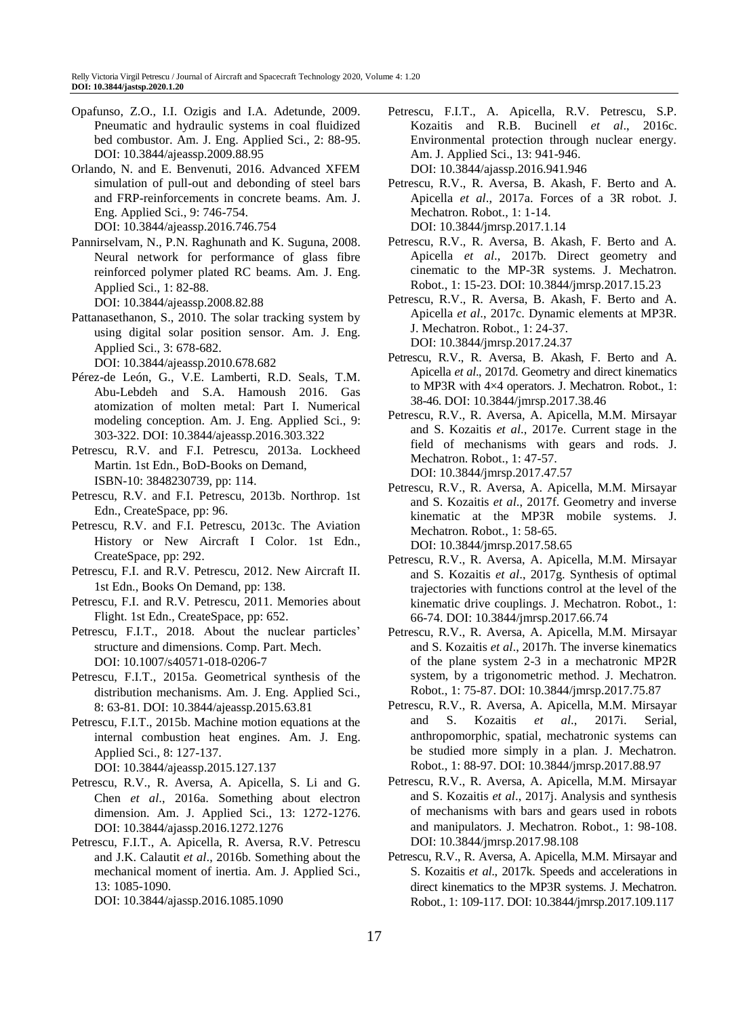- Opafunso, Z.O., I.I. Ozigis and I.A. Adetunde, 2009. Pneumatic and hydraulic systems in coal fluidized bed combustor. Am. J. Eng. Applied Sci., 2: 88-95. DOI: 10.3844/ajeassp.2009.88.95
- Orlando, N. and E. Benvenuti, 2016. Advanced XFEM simulation of pull-out and debonding of steel bars and FRP-reinforcements in concrete beams. Am. J. Eng. Applied Sci., 9: 746-754. DOI: 10.3844/ajeassp.2016.746.754
- Pannirselvam, N., P.N. Raghunath and K. Suguna, 2008. Neural network for performance of glass fibre reinforced polymer plated RC beams. Am. J. Eng. Applied Sci., 1: 82-88.

DOI: 10.3844/ajeassp.2008.82.88

- Pattanasethanon, S., 2010. The solar tracking system by using digital solar position sensor. Am. J. Eng. Applied Sci., 3: 678-682. DOI: 10.3844/ajeassp.2010.678.682
- Pérez-de León, G., V.E. Lamberti, R.D. Seals, T.M. Abu-Lebdeh and S.A. Hamoush 2016. Gas atomization of molten metal: Part I. Numerical modeling conception. Am. J. Eng. Applied Sci., 9:
- 303-322. DOI: 10.3844/ajeassp.2016.303.322 Petrescu, R.V. and F.I. Petrescu, 2013a. Lockheed Martin. 1st Edn., BoD-Books on Demand, ISBN-10: 3848230739, pp: 114.
- Petrescu, R.V. and F.I. Petrescu, 2013b. Northrop. 1st Edn., CreateSpace, pp: 96.
- Petrescu, R.V. and F.I. Petrescu, 2013c. The Aviation History or New Aircraft I Color. 1st Edn., CreateSpace, pp: 292.
- Petrescu, F.I. and R.V. Petrescu, 2012. New Aircraft II. 1st Edn., Books On Demand, pp: 138.
- Petrescu, F.I. and R.V. Petrescu, 2011. Memories about Flight. 1st Edn., CreateSpace, pp: 652.
- Petrescu, F.I.T., 2018. About the nuclear particles' structure and dimensions. Comp. Part. Mech. [DOI:](https://doi.org/10.1007/s40571-018-0206-7) 10.1007/s40571-018-0206-7
- Petrescu, F.I.T., 2015a. Geometrical synthesis of the distribution mechanisms. Am. J. Eng. Applied Sci., 8: 63-81. DOI: 10.3844/ajeassp.2015.63.81
- Petrescu, F.I.T., 2015b. Machine motion equations at the internal combustion heat engines. Am. J. Eng. Applied Sci., 8: 127-137. DOI: 10.3844/ajeassp.2015.127.137
- Petrescu, R.V., R. Aversa, A. Apicella, S. Li and G. Chen *et al*., 2016a. Something about electron dimension. Am. J. Applied Sci., 13: 1272-1276. DOI: 10.3844/ajassp.2016.1272.1276
- Petrescu, F.I.T., A. Apicella, R. Aversa, R.V. Petrescu and J.K. Calautit *et al*., 2016b. Something about the mechanical moment of inertia. Am. J. Applied Sci., 13: 1085-1090.

DOI: 10.3844/ajassp.2016.1085.1090

- Petrescu, F.I.T., A. Apicella, R.V. Petrescu, S.P. Kozaitis and R.B. Bucinell *et al*., 2016c. Environmental protection through nuclear energy. Am. J. Applied Sci., 13: 941-946. DOI: 10.3844/ajassp.2016.941.946
- Petrescu, R.V., R. Aversa, B. Akash, F. Berto and A. Apicella *et al*., 2017a. Forces of a 3R robot. J. Mechatron. Robot., 1: 1-14. DOI: 10.3844/jmrsp.2017.1.14
- Petrescu, R.V., R. Aversa, B. Akash, F. Berto and A. Apicella *et al*., 2017b. Direct geometry and cinematic to the MP-3R systems. J. Mechatron. Robot., 1: 15-23. DOI: 10.3844/jmrsp.2017.15.23
- Petrescu, R.V., R. Aversa, B. Akash, F. Berto and A. Apicella *et al*., 2017c. Dynamic elements at MP3R. J. Mechatron. Robot., 1: 24-37. DOI: 10.3844/jmrsp.2017.24.37
- Petrescu, R.V., R. Aversa, B. Akash, F. Berto and A. Apicella *et al*., 2017d. Geometry and direct kinematics to MP3R with 4×4 operators. J. Mechatron. Robot., 1: 38-46. DOI: 10.3844/jmrsp.2017.38.46
- Petrescu, R.V., R. Aversa, A. Apicella, M.M. Mirsayar and S. Kozaitis *et al*., 2017e. Current stage in the field of mechanisms with gears and rods. J. Mechatron. Robot., 1: 47-57. DOI: 10.3844/jmrsp.2017.47.57
- Petrescu, R.V., R. Aversa, A. Apicella, M.M. Mirsayar and S. Kozaitis *et al*., 2017f. Geometry and inverse kinematic at the MP3R mobile systems. J. Mechatron. Robot., 1: 58-65. DOI: 10.3844/jmrsp.2017.58.65
- Petrescu, R.V., R. Aversa, A. Apicella, M.M. Mirsayar and S. Kozaitis *et al*., 2017g. Synthesis of optimal trajectories with functions control at the level of the kinematic drive couplings. J. Mechatron. Robot., 1: 66-74. DOI: 10.3844/jmrsp.2017.66.74
- Petrescu, R.V., R. Aversa, A. Apicella, M.M. Mirsayar and S. Kozaitis *et al*., 2017h. The inverse kinematics of the plane system 2-3 in a mechatronic MP2R system, by a trigonometric method. J. Mechatron. Robot., 1: 75-87. DOI: 10.3844/jmrsp.2017.75.87
- Petrescu, R.V., R. Aversa, A. Apicella, M.M. Mirsayar and S. Kozaitis *et al*., 2017i. Serial, anthropomorphic, spatial, mechatronic systems can be studied more simply in a plan. J. Mechatron. Robot., 1: 88-97. DOI: 10.3844/jmrsp.2017.88.97
- Petrescu, R.V., R. Aversa, A. Apicella, M.M. Mirsayar and S. Kozaitis *et al*., 2017j. Analysis and synthesis of mechanisms with bars and gears used in robots and manipulators. J. Mechatron. Robot., 1: 98-108. DOI: 10.3844/jmrsp.2017.98.108
- Petrescu, R.V., R. Aversa, A. Apicella, M.M. Mirsayar and S. Kozaitis *et al*., 2017k. Speeds and accelerations in direct kinematics to the MP3R systems. J. Mechatron. Robot., 1: 109-117. DOI: 10.3844/jmrsp.2017.109.117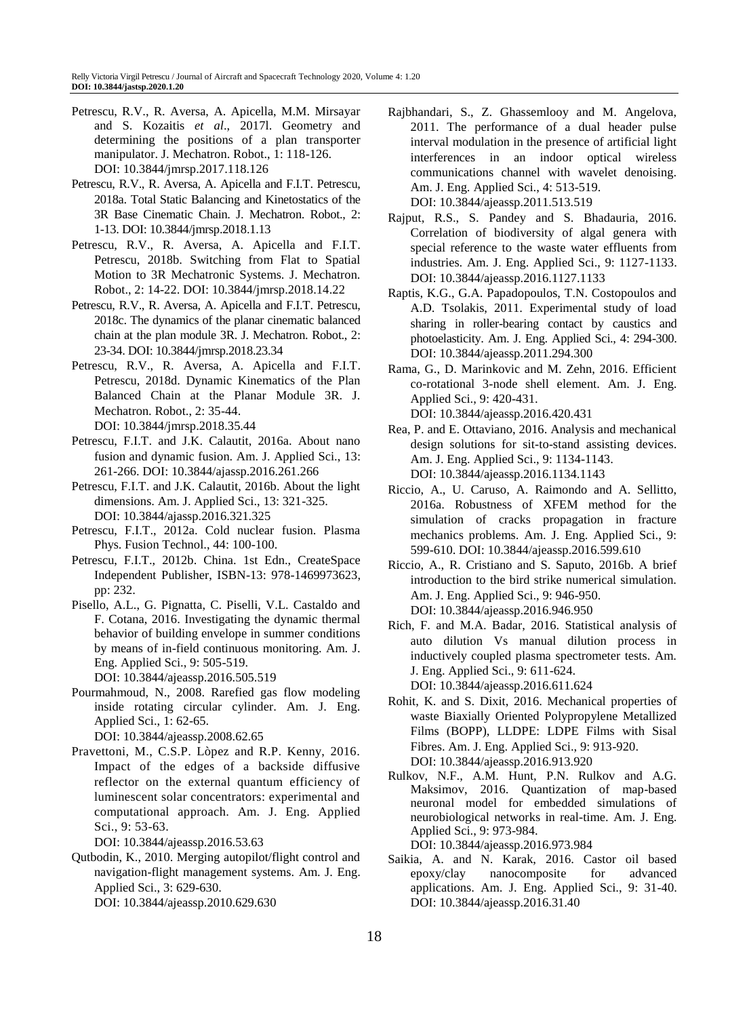- Petrescu, R.V., R. Aversa, A. Apicella, M.M. Mirsayar and S. Kozaitis *et al*., 2017l. Geometry and determining the positions of a plan transporter manipulator. J. Mechatron. Robot., 1: 118-126. DOI: 10.3844/jmrsp.2017.118.126
- Petrescu, R.V., R. Aversa, A. Apicella and F.I.T. Petrescu, 2018a. Total Static Balancing and Kinetostatics of the 3R Base Cinematic Chain. J. Mechatron. Robot., 2: 1-13. DOI: 10.3844/jmrsp.2018.1.13
- Petrescu, R.V., R. Aversa, A. Apicella and F.I.T. Petrescu, 2018b. Switching from Flat to Spatial Motion to 3R Mechatronic Systems. J. Mechatron. Robot., 2: 14-22. DOI: 10.3844/jmrsp.2018.14.22
- Petrescu, R.V., R. Aversa, A. Apicella and F.I.T. Petrescu, 2018c. The dynamics of the planar cinematic balanced chain at the plan module 3R. J. Mechatron. Robot., 2: 23-34. DOI: 10.3844/jmrsp.2018.23.34
- Petrescu, R.V., R. Aversa, A. Apicella and F.I.T. Petrescu, 2018d. Dynamic Kinematics of the Plan Balanced Chain at the Planar Module 3R. J. Mechatron. Robot., 2: 35-44. DOI: 10.3844/jmrsp.2018.35.44
- Petrescu, F.I.T. and J.K. Calautit, 2016a. About nano fusion and dynamic fusion. Am. J. Applied Sci., 13: 261-266. DOI: 10.3844/ajassp.2016.261.266
- Petrescu, F.I.T. and J.K. Calautit, 2016b. About the light dimensions. Am. J. Applied Sci., 13: 321-325. DOI: 10.3844/ajassp.2016.321.325
- Petrescu, F.I.T., 2012a. Cold nuclear fusion. Plasma Phys. Fusion Technol., 44: 100-100.
- Petrescu, F.I.T., 2012b. China. 1st Edn., CreateSpace Independent Publisher, ISBN-13: 978-1469973623, pp: 232.
- Pisello, A.L., G. Pignatta, C. Piselli, V.L. Castaldo and F. Cotana, 2016. Investigating the dynamic thermal behavior of building envelope in summer conditions by means of in-field continuous monitoring. Am. J. Eng. Applied Sci., 9: 505-519. DOI: 10.3844/ajeassp.2016.505.519
- Pourmahmoud, N., 2008. Rarefied gas flow modeling inside rotating circular cylinder. Am. J. Eng. Applied Sci., 1: 62-65. DOI: 10.3844/ajeassp.2008.62.65
- Pravettoni, M., C.S.P. Lòpez and R.P. Kenny, 2016. Impact of the edges of a backside diffusive reflector on the external quantum efficiency of luminescent solar concentrators: experimental and computational approach. Am. J. Eng. Applied Sci., 9: 53-63.

DOI: 10.3844/ajeassp.2016.53.63

Qutbodin, K., 2010. Merging autopilot/flight control and navigation-flight management systems. Am. J. Eng. Applied Sci., 3: 629-630. DOI: 10.3844/ajeassp.2010.629.630

- Rajbhandari, S., Z. Ghassemlooy and M. Angelova, 2011. The performance of a dual header pulse interval modulation in the presence of artificial light interferences in an indoor optical wireless communications channel with wavelet denoising. Am. J. Eng. Applied Sci., 4: 513-519. DOI: 10.3844/ajeassp.2011.513.519
- Rajput, R.S., S. Pandey and S. Bhadauria, 2016. Correlation of biodiversity of algal genera with special reference to the waste water effluents from industries. Am. J. Eng. Applied Sci., 9: 1127-1133. DOI: 10.3844/ajeassp.2016.1127.1133
- Raptis, K.G., G.A. Papadopoulos, T.N. Costopoulos and A.D. Tsolakis, 2011. Experimental study of load sharing in roller-bearing contact by caustics and photoelasticity. Am. J. Eng. Applied Sci., 4: 294-300. DOI: 10.3844/ajeassp.2011.294.300
- Rama, G., D. Marinkovic and M. Zehn, 2016. Efficient co-rotational 3-node shell element. Am. J. Eng. Applied Sci., 9: 420-431. DOI: 10.3844/ajeassp.2016.420.431
- Rea, P. and E. Ottaviano, 2016. Analysis and mechanical design solutions for sit-to-stand assisting devices. Am. J. Eng. Applied Sci., 9: 1134-1143. DOI: 10.3844/ajeassp.2016.1134.1143
- Riccio, A., U. Caruso, A. Raimondo and A. Sellitto, 2016a. Robustness of XFEM method for the simulation of cracks propagation in fracture mechanics problems. Am. J. Eng. Applied Sci., 9: 599-610. DOI: 10.3844/ajeassp.2016.599.610
- Riccio, A., R. Cristiano and S. Saputo, 2016b. A brief introduction to the bird strike numerical simulation. Am. J. Eng. Applied Sci., 9: 946-950. DOI: 10.3844/ajeassp.2016.946.950
- Rich, F. and M.A. Badar, 2016. Statistical analysis of auto dilution Vs manual dilution process in inductively coupled plasma spectrometer tests. Am. J. Eng. Applied Sci., 9: 611-624.
	- DOI: 10.3844/ajeassp.2016.611.624
- Rohit, K. and S. Dixit, 2016. Mechanical properties of waste Biaxially Oriented Polypropylene Metallized Films (BOPP), LLDPE: LDPE Films with Sisal Fibres. Am. J. Eng. Applied Sci., 9: 913-920. DOI: 10.3844/ajeassp.2016.913.920
- Rulkov, N.F., A.M. Hunt, P.N. Rulkov and A.G. Maksimov, 2016. Quantization of map-based neuronal model for embedded simulations of neurobiological networks in real-time. Am. J. Eng. Applied Sci., 9: 973-984. DOI: 10.3844/ajeassp.2016.973.984
- Saikia, A. and N. Karak, 2016. Castor oil based epoxy/clay nanocomposite for advanced applications. Am. J. Eng. Applied Sci., 9: 31-40. DOI: 10.3844/ajeassp.2016.31.40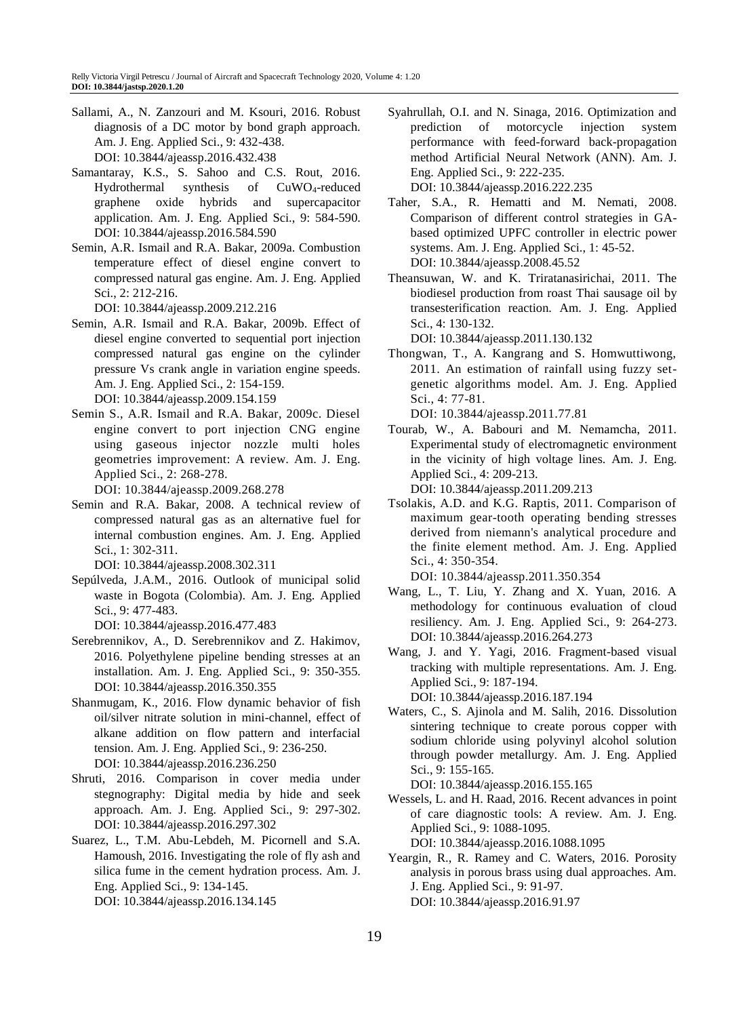Sallami, A., N. Zanzouri and M. Ksouri, 2016. Robust diagnosis of a DC motor by bond graph approach. Am. J. Eng. Applied Sci., 9: 432-438. DOI: 10.3844/ajeassp.2016.432.438

- Samantaray, K.S., S. Sahoo and C.S. Rout, 2016. Hydrothermal synthesis of CuWO4-reduced graphene oxide hybrids and supercapacitor application. Am. J. Eng. Applied Sci., 9: 584-590. DOI: 10.3844/ajeassp.2016.584.590
- Semin, A.R. Ismail and R.A. Bakar, 2009a. Combustion temperature effect of diesel engine convert to compressed natural gas engine. Am. J. Eng. Applied Sci., 2: 212-216.

DOI: 10.3844/ajeassp.2009.212.216

- Semin, A.R. Ismail and R.A. Bakar, 2009b. Effect of diesel engine converted to sequential port injection compressed natural gas engine on the cylinder pressure Vs crank angle in variation engine speeds. Am. J. Eng. Applied Sci., 2: 154-159. DOI: 10.3844/ajeassp.2009.154.159
- Semin S., A.R. Ismail and R.A. Bakar, 2009c. Diesel engine convert to port injection CNG engine using gaseous injector nozzle multi holes geometries improvement: A review. Am. J. Eng. Applied Sci., 2: 268-278.

DOI: 10.3844/ajeassp.2009.268.278

Semin and R.A. Bakar, 2008. A technical review of compressed natural gas as an alternative fuel for internal combustion engines. Am. J. Eng. Applied Sci., 1: 302-311.

DOI: 10.3844/ajeassp.2008.302.311

Sepúlveda, J.A.M., 2016. Outlook of municipal solid waste in Bogota (Colombia). Am. J. Eng. Applied Sci., 9: 477-483.

DOI: 10.3844/ajeassp.2016.477.483

- Serebrennikov, A., D. Serebrennikov and Z. Hakimov, 2016. Polyethylene pipeline bending stresses at an installation. Am. J. Eng. Applied Sci., 9: 350-355. DOI: 10.3844/ajeassp.2016.350.355
- Shanmugam, K., 2016. Flow dynamic behavior of fish oil/silver nitrate solution in mini-channel, effect of alkane addition on flow pattern and interfacial tension. Am. J. Eng. Applied Sci., 9: 236-250. DOI: 10.3844/ajeassp.2016.236.250
- Shruti, 2016. Comparison in cover media under stegnography: Digital media by hide and seek approach. Am. J. Eng. Applied Sci., 9: 297-302. DOI: 10.3844/ajeassp.2016.297.302
- Suarez, L., T.M. Abu-Lebdeh, M. Picornell and S.A. Hamoush, 2016. Investigating the role of fly ash and silica fume in the cement hydration process. Am. J. Eng. Applied Sci., 9: 134-145. DOI: 10.3844/ajeassp.2016.134.145

Syahrullah, O.I. and N. Sinaga, 2016. Optimization and prediction of motorcycle injection system performance with feed-forward back-propagation method Artificial Neural Network (ANN). Am. J. Eng. Applied Sci., 9: 222-235. DOI: 10.3844/ajeassp.2016.222.235

Taher, S.A., R. Hematti and M. Nemati, 2008. Comparison of different control strategies in GA-

- based optimized UPFC controller in electric power systems. Am. J. Eng. Applied Sci., 1: 45-52. DOI: 10.3844/ajeassp.2008.45.52
- Theansuwan, W. and K. Triratanasirichai, 2011. The biodiesel production from roast Thai sausage oil by transesterification reaction. Am. J. Eng. Applied Sci., 4: 130-132.

DOI: 10.3844/ajeassp.2011.130.132

Thongwan, T., A. Kangrang and S. Homwuttiwong, 2011. An estimation of rainfall using fuzzy setgenetic algorithms model. Am. J. Eng. Applied Sci., 4: 77-81.

DOI: 10.3844/ajeassp.2011.77.81

Tourab, W., A. Babouri and M. Nemamcha, 2011. Experimental study of electromagnetic environment in the vicinity of high voltage lines. Am. J. Eng. Applied Sci., 4: 209-213.

DOI: 10.3844/ajeassp.2011.209.213

Tsolakis, A.D. and K.G. Raptis, 2011. Comparison of maximum gear-tooth operating bending stresses derived from niemann's analytical procedure and the finite element method. Am. J. Eng. Applied Sci., 4: 350-354.

DOI: 10.3844/ajeassp.2011.350.354

- Wang, L., T. Liu, Y. Zhang and X. Yuan, 2016. A methodology for continuous evaluation of cloud resiliency. Am. J. Eng. Applied Sci., 9: 264-273. DOI: 10.3844/ajeassp.2016.264.273
- Wang, J. and Y. Yagi, 2016. Fragment-based visual tracking with multiple representations. Am. J. Eng. Applied Sci., 9: 187-194.

DOI: 10.3844/ajeassp.2016.187.194

Waters, C., S. Ajinola and M. Salih, 2016. Dissolution sintering technique to create porous copper with sodium chloride using polyvinyl alcohol solution through powder metallurgy. Am. J. Eng. Applied Sci., 9: 155-165.

DOI: 10.3844/ajeassp.2016.155.165

- Wessels, L. and H. Raad, 2016. Recent advances in point of care diagnostic tools: A review. Am. J. Eng. Applied Sci., 9: 1088-1095. DOI: 10.3844/ajeassp.2016.1088.1095
- Yeargin, R., R. Ramey and C. Waters, 2016. Porosity analysis in porous brass using dual approaches. Am. J. Eng. Applied Sci., 9: 91-97. DOI: 10.3844/ajeassp.2016.91.97